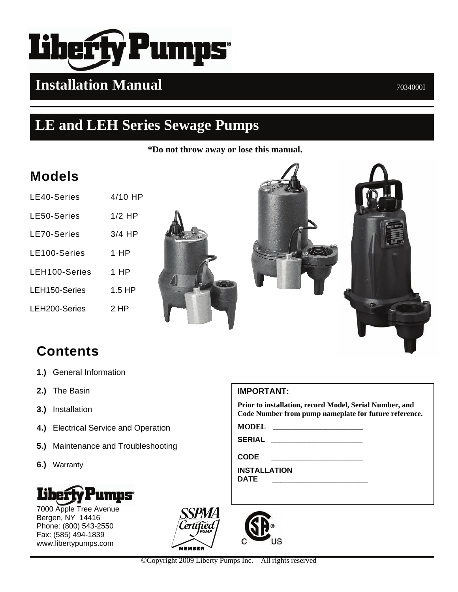

# **Installation Manual** 2034000I

# **LE and LEH Series Sewage Pumps**

**\*Do not throw away or lose this manual.**

# **Models**

| $4/10$ HP |
|-----------|
| $1/2$ HP  |
| $3/4$ HP  |
| 1 HP      |
| 1 HP      |
| $1.5$ HP  |
| 2 HP      |
|           |





# **Contents**

- **1.)** General Information
- **2.)** The Basin
- **3.)** Installation
- **4.)** Electrical Service and Operation
- **5.)** Maintenance and Troubleshooting
- **6.)** Warranty



7000 Apple Tree Avenue Bergen, NY 14416 Phone: (800) 543-2550 Fax: (585) 494-1839 www.libertypumps.com



### **IMPORTANT:**

**Prior to installation, record Model, Serial Number, and Code Number from pump nameplate for future reference.** 

**MODEL \_\_\_\_\_\_\_\_\_\_\_\_\_\_\_\_\_\_\_\_\_\_\_\_**

**SERIAL \_\_\_\_\_\_\_\_\_\_\_\_\_\_\_\_\_\_\_\_\_\_** 

**CODE \_\_\_\_\_\_\_\_\_\_\_\_\_\_\_\_\_\_\_\_\_\_** 

**INSTALLATION DATE \_\_\_\_\_\_\_\_\_\_\_\_\_\_\_\_\_\_\_\_\_\_\_** 

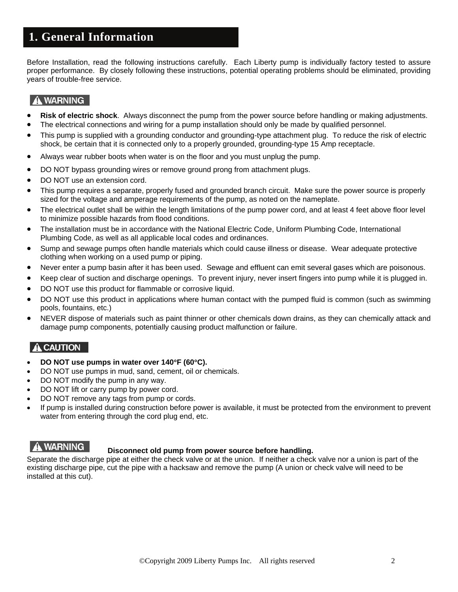# **1. General Information**

Before Installation, read the following instructions carefully. Each Liberty pump is individually factory tested to assure proper performance. By closely following these instructions, potential operating problems should be eliminated, providing years of trouble-free service.

### A WARNING

- **Risk of electric shock**. Always disconnect the pump from the power source before handling or making adjustments.
- The electrical connections and wiring for a pump installation should only be made by qualified personnel.
- This pump is supplied with a grounding conductor and grounding-type attachment plug. To reduce the risk of electric shock, be certain that it is connected only to a properly grounded, grounding-type 15 Amp receptacle.
- Always wear rubber boots when water is on the floor and you must unplug the pump.
- DO NOT bypass grounding wires or remove ground prong from attachment plugs.
- DO NOT use an extension cord.
- This pump requires a separate, properly fused and grounded branch circuit. Make sure the power source is properly sized for the voltage and amperage requirements of the pump, as noted on the nameplate.
- The electrical outlet shall be within the length limitations of the pump power cord, and at least 4 feet above floor level to minimize possible hazards from flood conditions.
- The installation must be in accordance with the National Electric Code, Uniform Plumbing Code, International Plumbing Code, as well as all applicable local codes and ordinances.
- Sump and sewage pumps often handle materials which could cause illness or disease. Wear adequate protective clothing when working on a used pump or piping.
- Never enter a pump basin after it has been used. Sewage and effluent can emit several gases which are poisonous.
- Keep clear of suction and discharge openings. To prevent injury, never insert fingers into pump while it is plugged in.
- DO NOT use this product for flammable or corrosive liquid.
- DO NOT use this product in applications where human contact with the pumped fluid is common (such as swimming pools, fountains, etc.)
- NEVER dispose of materials such as paint thinner or other chemicals down drains, as they can chemically attack and damage pump components, potentially causing product malfunction or failure.

### **A CAUTION**

- **DO NOT use pumps in water over 140**°**F (60**°**C).**
- DO NOT use pumps in mud, sand, cement, oil or chemicals.
- DO NOT modify the pump in any way.
- DO NOT lift or carry pump by power cord.
- DO NOT remove any tags from pump or cords.
- If pump is installed during construction before power is available, it must be protected from the environment to prevent water from entering through the cord plug end, etc.

### **WARNING**

### **Disconnect old pump from power source before handling.**

Separate the discharge pipe at either the check valve or at the union. If neither a check valve nor a union is part of the existing discharge pipe, cut the pipe with a hacksaw and remove the pump (A union or check valve will need to be installed at this cut).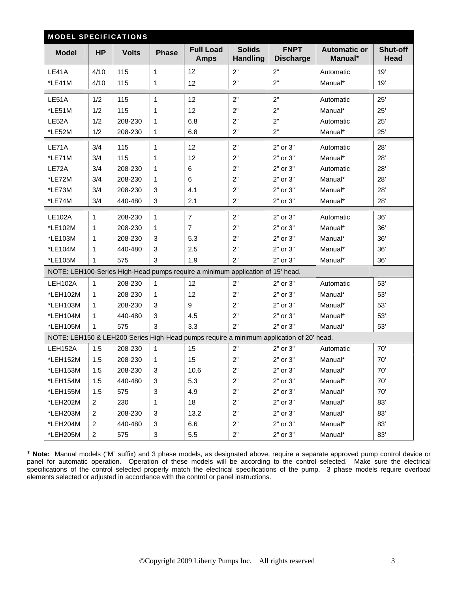| <b>MODEL SPECIFICATIONS</b> |                         |              |              |                                                                                |                                  |                                                                                         |                                |                  |
|-----------------------------|-------------------------|--------------|--------------|--------------------------------------------------------------------------------|----------------------------------|-----------------------------------------------------------------------------------------|--------------------------------|------------------|
| <b>Model</b>                | <b>HP</b>               | <b>Volts</b> | <b>Phase</b> | <b>Full Load</b><br><b>Amps</b>                                                | <b>Solids</b><br><b>Handling</b> | <b>FNPT</b><br><b>Discharge</b>                                                         | <b>Automatic or</b><br>Manual* | Shut-off<br>Head |
| LE41A                       | 4/10                    | 115          | $\mathbf{1}$ | 12                                                                             | 2"                               | 2"                                                                                      | Automatic                      | 19'              |
| *LE41M                      | 4/10                    | 115          | 1            | 12                                                                             | 2"                               | 2"                                                                                      | Manual*                        | 19'              |
| LE51A                       | 1/2                     | 115          | $\mathbf{1}$ | 12                                                                             | 2"                               | 2"                                                                                      | Automatic                      | 25'              |
| *LE51M                      | 1/2                     | 115          | 1            | 12                                                                             | 2"                               | 2"                                                                                      | Manual*                        | 25'              |
| LE52A                       | 1/2                     | 208-230      | 1            | 6.8                                                                            | 2"                               | 2"                                                                                      | Automatic                      | 25'              |
| *LE52M                      | 1/2                     | 208-230      | 1            | 6.8                                                                            | 2"                               | 2"                                                                                      | Manual*                        | 25'              |
| LE71A                       | 3/4                     | 115          | $\mathbf{1}$ | 12                                                                             | 2"                               | 2" or 3"                                                                                | Automatic                      | 28'              |
| *LE71M                      | 3/4                     | 115          | 1            | 12                                                                             | 2"                               | 2" or 3"                                                                                | Manual*                        | 28'              |
| LE72A                       | 3/4                     | 208-230      | 1            | 6                                                                              | 2"                               | 2" or 3"                                                                                | Automatic                      | 28'              |
| *LE72M                      | 3/4                     | 208-230      | $\mathbf{1}$ | 6                                                                              | 2"                               | 2" or 3"                                                                                | Manual*                        | 28'              |
| *LE73M                      | 3/4                     | 208-230      | 3            | 4.1                                                                            | 2"                               | 2" or 3"                                                                                | Manual*                        | 28'              |
| *LE74M                      | 3/4                     | 440-480      | 3            | 2.1                                                                            | 2"                               | 2" or 3"                                                                                | Manual*                        | 28'              |
| <b>LE102A</b>               | $\mathbf{1}$            | 208-230      | $\mathbf{1}$ | $\overline{7}$                                                                 | 2"                               | 2" or 3"                                                                                | Automatic                      | 36'              |
| *LE102M                     | 1                       | 208-230      | 1            | $\overline{7}$                                                                 | 2"                               | 2" or 3"                                                                                | Manual*                        | 36'              |
| *LE103M                     | 1                       | 208-230      | 3            | 5.3                                                                            | 2"                               | 2" or 3"                                                                                | Manual*                        | 36'              |
| *LE104M                     | 1                       | 440-480      | 3            | 2.5                                                                            | 2"                               | 2" or 3"                                                                                | Manual*                        | 36'              |
| *LE105M                     | 1                       | 575          | 3            | 1.9                                                                            | 2"                               | 2" or 3"                                                                                | Manual*                        | 36'              |
|                             |                         |              |              | NOTE: LEH100-Series High-Head pumps require a minimum application of 15' head. |                                  |                                                                                         |                                |                  |
| LEH102A                     | $\mathbf{1}$            | 208-230      | $\mathbf{1}$ | 12                                                                             | 2"                               | 2" or 3"                                                                                | Automatic                      | 53'              |
| *LEH102M                    | $\mathbf{1}$            | 208-230      | 1            | 12                                                                             | 2"                               | 2" or 3"                                                                                | Manual*                        | 53'              |
| *LEH103M                    | $\mathbf{1}$            | 208-230      | 3            | 9                                                                              | 2"                               | 2" or 3"                                                                                | Manual*                        | 53'              |
| *LEH104M                    | 1                       | 440-480      | 3            | 4.5                                                                            | 2"                               | 2" or 3"                                                                                | Manual*                        | 53'              |
| *LEH105M                    | 1                       | 575          | 3            | 3.3                                                                            | 2"                               | 2" or 3"                                                                                | Manual*                        | 53'              |
|                             |                         |              |              |                                                                                |                                  | NOTE: LEH150 & LEH200 Series High-Head pumps require a minimum application of 20' head. |                                |                  |
| LEH152A                     | 1.5                     | 208-230      | $\mathbf{1}$ | 15                                                                             | 2"                               | 2" or 3"                                                                                | Automatic                      | 70'              |
| *LEH152M                    | 1.5                     | 208-230      | 1            | 15                                                                             | 2"                               | 2" or 3"                                                                                | Manual*                        | 70'              |
| *LEH153M                    | 1.5                     | 208-230      | 3            | 10.6                                                                           | 2"                               | 2" or 3"                                                                                | Manual*                        | 70'              |
| *LEH154M                    | 1.5                     | 440-480      | 3            | 5.3                                                                            | 2"                               | 2" or 3"                                                                                | Manual*                        | 70'              |
| *LEH155M                    | 1.5                     | 575          | 3            | 4.9                                                                            | 2"                               | 2" or 3"                                                                                | Manual*                        | 70'              |
| *LEH202M                    | 2                       | 230          | 1            | 18                                                                             | 2"                               | 2" or 3"                                                                                | Manual*                        | 83'              |
| *LEH203M                    | $\overline{\mathbf{c}}$ | 208-230      | 3            | 13.2                                                                           | 2"                               | 2" or 3"                                                                                | Manual*                        | 83'              |
| *LEH204M                    | $\overline{c}$          | 440-480      | 3            | 6.6                                                                            | 2"                               | 2" or 3"                                                                                | Manual*                        | 83'              |
| *LEH205M                    | $\overline{a}$          | 575          | 3            | 5.5                                                                            | 2"                               | 2" or 3"                                                                                | Manual*                        | 83'              |

∗ **Note:** Manual models ("M" suffix) and 3 phase models, as designated above, require a separate approved pump control device or panel for automatic operation. Operation of these models will be according to the control selected. Make sure the electrical specifications of the control selected properly match the electrical specifications of the pump. 3 phase models require overload elements selected or adjusted in accordance with the control or panel instructions.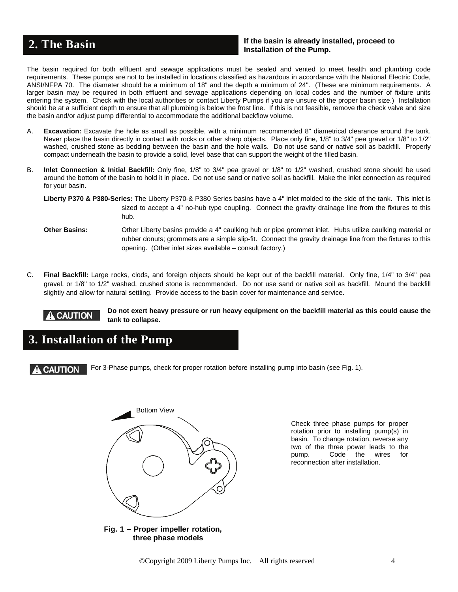### **If the basin is already installed, proceed to 1. The Basin Constitution of the Basin Constitution of the Pump.** If the basin is already installation of the Pump.

The basin required for both effluent and sewage applications must be sealed and vented to meet health and plumbing code requirements. These pumps are not to be installed in locations classified as hazardous in accordance with the National Electric Code, ANSI/NFPA 70. The diameter should be a minimum of 18" and the depth a minimum of 24". (These are minimum requirements. A larger basin may be required in both effluent and sewage applications depending on local codes and the number of fixture units entering the system. Check with the local authorities or contact Liberty Pumps if you are unsure of the proper basin size.) Installation should be at a sufficient depth to ensure that all plumbing is below the frost line. If this is not feasible, remove the check valve and size the basin and/or adjust pump differential to accommodate the additional backflow volume.

- A. **Excavation:** Excavate the hole as small as possible, with a minimum recommended 8" diametrical clearance around the tank. Never place the basin directly in contact with rocks or other sharp objects. Place only fine, 1/8" to 3/4" pea gravel or 1/8" to 1/2" washed, crushed stone as bedding between the basin and the hole walls. Do not use sand or native soil as backfill. Properly compact underneath the basin to provide a solid, level base that can support the weight of the filled basin.
- B. **Inlet Connection & Initial Backfill:** Only fine, 1/8" to 3/4" pea gravel or 1/8" to 1/2" washed, crushed stone should be used around the bottom of the basin to hold it in place. Do not use sand or native soil as backfill. Make the inlet connection as required for your basin.

- **Other Basins:** Other Liberty basins provide a 4" caulking hub or pipe grommet inlet. Hubs utilize caulking material or rubber donuts; grommets are a simple slip-fit. Connect the gravity drainage line from the fixtures to this opening. (Other inlet sizes available – consult factory.)
- C. **Final Backfill:** Large rocks, clods, and foreign objects should be kept out of the backfill material. Only fine, 1/4" to 3/4" pea gravel, or 1/8" to 1/2" washed, crushed stone is recommended. Do not use sand or native soil as backfill. Mound the backfill slightly and allow for natural settling. Provide access to the basin cover for maintenance and service.



# **3. Installation of the Pump**

For 3-Phase pumps, check for proper rotation before installing pump into basin (see Fig. 1). **CAUTION** 



Check three phase pumps for proper rotation prior to installing pump(s) in basin. To change rotation, reverse any two of the three power leads to the pump. Code the wires for reconnection after installation.

**Fig. 1 – Proper impeller rotation, three phase models**

**Liberty P370 & P380-Series:** The Liberty P370-& P380 Series basins have a 4" inlet molded to the side of the tank. This inlet is sized to accept a 4" no-hub type coupling. Connect the gravity drainage line from the fixtures to this hub.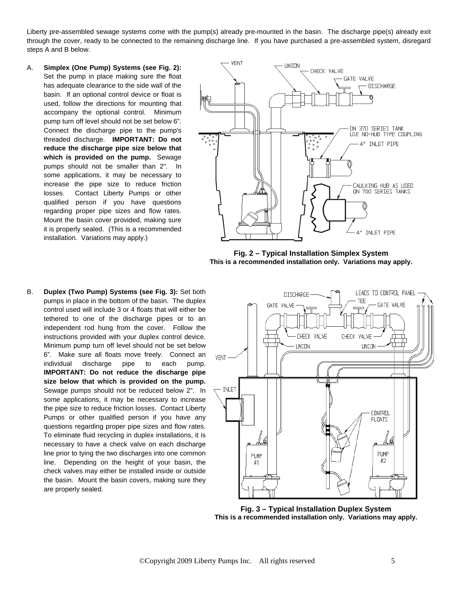Liberty pre-assembled sewage systems come with the pump(s) already pre-mounted in the basin. The discharge pipe(s) already exit through the cover, ready to be connected to the remaining discharge line. If you have purchased a pre-assembled system, disregard steps A and B below.

A. **Simplex (One Pump) Systems (see Fig. 2):** Set the pump in place making sure the float has adequate clearance to the side wall of the basin. If an optional control device or float is used, follow the directions for mounting that accompany the optional control. Minimum pump turn off level should not be set below 6". Connect the discharge pipe to the pump's threaded discharge. **IMPORTANT: Do not reduce the discharge pipe size below that which is provided on the pump.** Sewage pumps should not be smaller than 2". In some applications, it may be necessary to increase the pipe size to reduce friction losses. Contact Liberty Pumps or other qualified person if you have questions regarding proper pipe sizes and flow rates. Mount the basin cover provided, making sure it is properly sealed. (This is a recommended installation. Variations may apply.)



**Fig. 2 – Typical Installation Simplex System This is a recommended installation only. Variations may apply.** 

B. **Duplex (Two Pump) Systems (see Fig. 3):** Set both pumps in place in the bottom of the basin. The duplex control used will include 3 or 4 floats that will either be tethered to one of the discharge pipes or to an independent rod hung from the cover. Follow the instructions provided with your duplex control device. Minimum pump turn off level should not be set below 6". Make sure all floats move freely. Connect an individual discharge pipe to each pump. **IMPORTANT: Do not reduce the discharge pipe size below that which is provided on the pump.**  Sewage pumps should not be reduced below 2". In some applications, it may be necessary to increase the pipe size to reduce friction losses. Contact Liberty Pumps or other qualified person if you have any questions regarding proper pipe sizes and flow rates. To eliminate fluid recycling in duplex installations, it is necessary to have a check valve on each discharge line prior to tying the two discharges into one common line. Depending on the height of your basin, the check valves may either be installed inside or outside the basin. Mount the basin covers, making sure they are properly sealed.



**Fig. 3 – Typical Installation Duplex System This is a recommended installation only. Variations may apply.**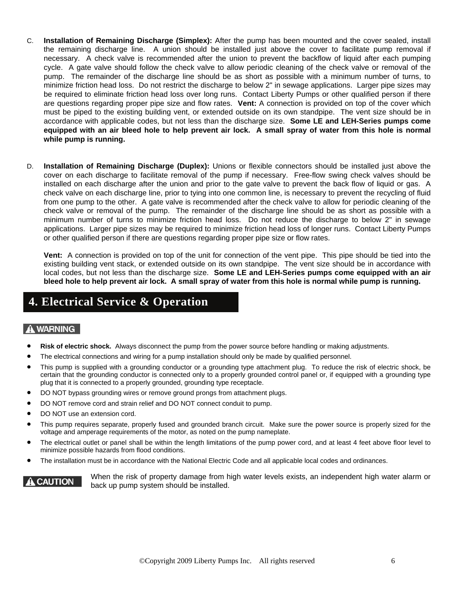- C. **Installation of Remaining Discharge (Simplex):** After the pump has been mounted and the cover sealed, install the remaining discharge line. A union should be installed just above the cover to facilitate pump removal if necessary. A check valve is recommended after the union to prevent the backflow of liquid after each pumping cycle. A gate valve should follow the check valve to allow periodic cleaning of the check valve or removal of the pump. The remainder of the discharge line should be as short as possible with a minimum number of turns, to minimize friction head loss. Do not restrict the discharge to below 2" in sewage applications. Larger pipe sizes may be required to eliminate friction head loss over long runs. Contact Liberty Pumps or other qualified person if there are questions regarding proper pipe size and flow rates. **Vent:** A connection is provided on top of the cover which must be piped to the existing building vent, or extended outside on its own standpipe. The vent size should be in accordance with applicable codes, but not less than the discharge size. **Some LE and LEH-Series pumps come equipped with an air bleed hole to help prevent air lock. A small spray of water from this hole is normal while pump is running.**
- D. **Installation of Remaining Discharge (Duplex):** Unions or flexible connectors should be installed just above the cover on each discharge to facilitate removal of the pump if necessary. Free-flow swing check valves should be installed on each discharge after the union and prior to the gate valve to prevent the back flow of liquid or gas. A check valve on each discharge line, prior to tying into one common line, is necessary to prevent the recycling of fluid from one pump to the other. A gate valve is recommended after the check valve to allow for periodic cleaning of the check valve or removal of the pump. The remainder of the discharge line should be as short as possible with a minimum number of turns to minimize friction head loss. Do not reduce the discharge to below 2" in sewage applications. Larger pipe sizes may be required to minimize friction head loss of longer runs. Contact Liberty Pumps or other qualified person if there are questions regarding proper pipe size or flow rates.

**Vent:** A connection is provided on top of the unit for connection of the vent pipe. This pipe should be tied into the existing building vent stack, or extended outside on its own standpipe. The vent size should be in accordance with local codes, but not less than the discharge size. **Some LE and LEH-Series pumps come equipped with an air bleed hole to help prevent air lock. A small spray of water from this hole is normal while pump is running.** 

### **4. Electrical Service & Operation**

### A WARNING

- **Risk of electric shock.** Always disconnect the pump from the power source before handling or making adjustments.
- The electrical connections and wiring for a pump installation should only be made by qualified personnel.
- This pump is supplied with a grounding conductor or a grounding type attachment plug. To reduce the risk of electric shock, be certain that the grounding conductor is connected only to a properly grounded control panel or, if equipped with a grounding type plug that it is connected to a properly grounded, grounding type receptacle.
- DO NOT bypass grounding wires or remove ground prongs from attachment plugs.
- DO NOT remove cord and strain relief and DO NOT connect conduit to pump.
- DO NOT use an extension cord.
- This pump requires separate, properly fused and grounded branch circuit. Make sure the power source is properly sized for the voltage and amperage requirements of the motor, as noted on the pump nameplate.
- The electrical outlet or panel shall be within the length limitations of the pump power cord, and at least 4 feet above floor level to minimize possible hazards from flood conditions.
- The installation must be in accordance with the National Electric Code and all applicable local codes and ordinances.

### **CAUTION**

When the risk of property damage from high water levels exists, an independent high water alarm or back up pump system should be installed.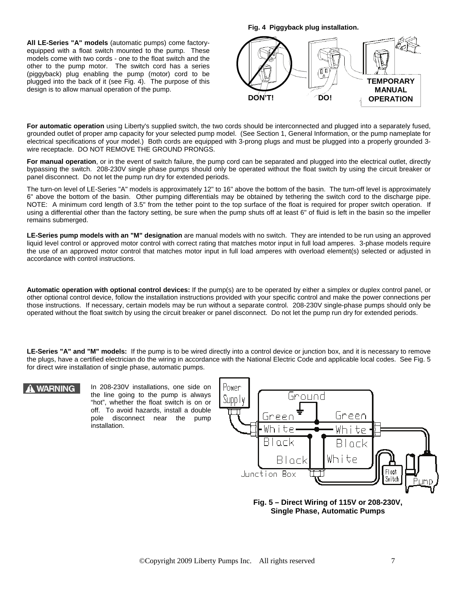**All LE-Series "A" models** (automatic pumps) come factoryequipped with a float switch mounted to the pump. These models come with two cords - one to the float switch and the other to the pump motor. The switch cord has a series (piggyback) plug enabling the pump (motor) cord to be plugged into the back of it (see Fig. 4). The purpose of this design is to allow manual operation of the pump.

**Fig. 4 Piggyback plug installation.**



**For automatic operation** using Liberty's supplied switch, the two cords should be interconnected and plugged into a separately fused, grounded outlet of proper amp capacity for your selected pump model. (See Section 1, General Information, or the pump nameplate for electrical specifications of your model.) Both cords are equipped with 3-prong plugs and must be plugged into a properly grounded 3 wire receptacle. DO NOT REMOVE THE GROUND PRONGS.

For manual operation, or in the event of switch failure, the pump cord can be separated and plugged into the electrical outlet, directly bypassing the switch. 208-230V single phase pumps should only be operated without the float switch by using the circuit breaker or panel disconnect. Do not let the pump run dry for extended periods.

The turn-on level of LE-Series "A" models is approximately 12" to 16" above the bottom of the basin. The turn-off level is approximately 6" above the bottom of the basin. Other pumping differentials may be obtained by tethering the switch cord to the discharge pipe. NOTE: A minimum cord length of 3.5" from the tether point to the top surface of the float is required for proper switch operation. If using a differential other than the factory setting, be sure when the pump shuts off at least 6" of fluid is left in the basin so the impeller remains submerged.

**LE-Series pump models with an "M" designation** are manual models with no switch. They are intended to be run using an approved liquid level control or approved motor control with correct rating that matches motor input in full load amperes. 3-phase models require the use of an approved motor control that matches motor input in full load amperes with overload element(s) selected or adjusted in accordance with control instructions.

**Automatic operation with optional control devices:** If the pump(s) are to be operated by either a simplex or duplex control panel, or other optional control device, follow the installation instructions provided with your specific control and make the power connections per those instructions. If necessary, certain models may be run without a separate control. 208-230V single-phase pumps should only be operated without the float switch by using the circuit breaker or panel disconnect. Do not let the pump run dry for extended periods.

**LE-Series "A" and "M" models:** If the pump is to be wired directly into a control device or junction box, and it is necessary to remove the plugs, have a certified electrician do the wiring in accordance with the National Electric Code and applicable local codes. See Fig. 5 for direct wire installation of single phase, automatic pumps.

### **WARNING**

In 208-230V installations, one side on the line going to the pump is always "hot", whether the float switch is on or off. To avoid hazards, install a double pole disconnect near the pump installation.



**Fig. 5 – Direct Wiring of 115V or 208-230V, Single Phase, Automatic Pumps**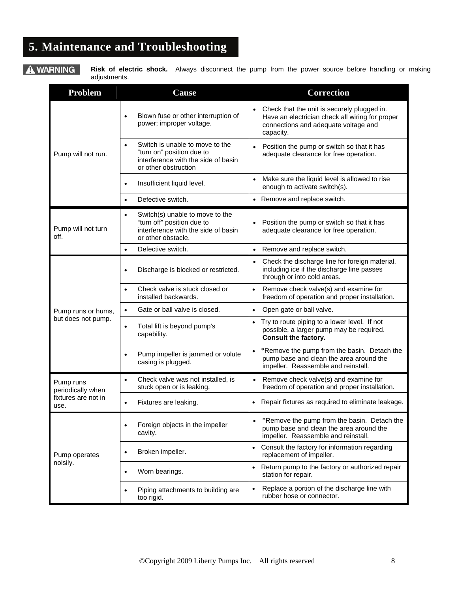# **5. Maintenance and Troubleshooting**

A WARNING

adjustments.

**Risk of electric shock.** Always disconnect the pump from the power source before handling or making

| Problem                        | Cause                                                                                                                                    | <b>Correction</b>                                                                                                                                   |
|--------------------------------|------------------------------------------------------------------------------------------------------------------------------------------|-----------------------------------------------------------------------------------------------------------------------------------------------------|
|                                | Blown fuse or other interruption of<br>$\bullet$<br>power; improper voltage.                                                             | Check that the unit is securely plugged in.<br>Have an electrician check all wiring for proper<br>connections and adequate voltage and<br>capacity. |
| Pump will not run.             | Switch is unable to move to the<br>$\bullet$<br>"turn on" position due to<br>interference with the side of basin<br>or other obstruction | Position the pump or switch so that it has<br>adequate clearance for free operation.                                                                |
|                                | Insufficient liquid level.<br>$\bullet$                                                                                                  | Make sure the liquid level is allowed to rise<br>enough to activate switch(s).                                                                      |
|                                | Defective switch.<br>$\bullet$                                                                                                           | • Remove and replace switch.                                                                                                                        |
| Pump will not turn<br>off.     | Switch(s) unable to move to the<br>$\bullet$<br>"turn off" position due to<br>interference with the side of basin<br>or other obstacle.  | Position the pump or switch so that it has<br>adequate clearance for free operation.                                                                |
|                                | Defective switch.<br>$\bullet$                                                                                                           | Remove and replace switch.<br>$\bullet$                                                                                                             |
|                                | Discharge is blocked or restricted.<br>$\bullet$                                                                                         | Check the discharge line for foreign material,<br>$\bullet$<br>including ice if the discharge line passes<br>through or into cold areas.            |
|                                | Check valve is stuck closed or<br>$\bullet$<br>installed backwards.                                                                      | Remove check valve(s) and examine for<br>$\bullet$<br>freedom of operation and proper installation.                                                 |
| Pump runs or hums,             | Gate or ball valve is closed.<br>$\bullet$                                                                                               | Open gate or ball valve.<br>$\bullet$                                                                                                               |
| but does not pump.             | Total lift is beyond pump's<br>$\bullet$<br>capability.                                                                                  | Try to route piping to a lower level. If not<br>$\bullet$<br>possible, a larger pump may be required.<br><b>Consult the factory.</b>                |
|                                | Pump impeller is jammed or volute<br>$\bullet$<br>casing is plugged.                                                                     | *Remove the pump from the basin. Detach the<br>$\bullet$<br>pump base and clean the area around the<br>impeller. Reassemble and reinstall.          |
| Pump runs<br>periodically when | Check valve was not installed, is<br>$\bullet$<br>stuck open or is leaking.                                                              | Remove check valve(s) and examine for<br>freedom of operation and proper installation.                                                              |
| fixtures are not in<br>use.    | Fixtures are leaking.<br>$\bullet$                                                                                                       | Repair fixtures as required to eliminate leakage.<br>$\bullet$                                                                                      |
|                                | Foreign objects in the impeller<br>$\bullet$<br>cavity.                                                                                  | *Remove the pump from the basin. Detach the<br>pump base and clean the area around the<br>impeller. Reassemble and reinstall.                       |
| Pump operates                  | Broken impeller.<br>$\bullet$                                                                                                            | Consult the factory for information regarding<br>$\bullet$<br>replacement of impeller.                                                              |
| noisily.                       | Worn bearings.<br>$\bullet$                                                                                                              | Return pump to the factory or authorized repair<br>$\bullet$<br>station for repair.                                                                 |
|                                | Piping attachments to building are<br>too rigid.                                                                                         | Replace a portion of the discharge line with<br>$\bullet$<br>rubber hose or connector.                                                              |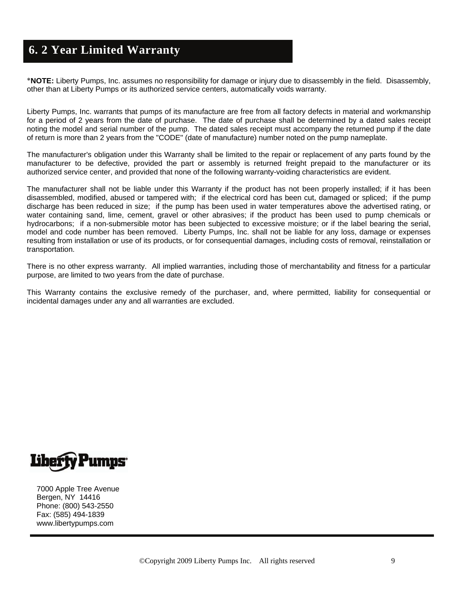### **6. 2 Year Limited Warranty**

∗**NOTE:** Liberty Pumps, Inc. assumes no responsibility for damage or injury due to disassembly in the field. Disassembly, other than at Liberty Pumps or its authorized service centers, automatically voids warranty.

Liberty Pumps, Inc. warrants that pumps of its manufacture are free from all factory defects in material and workmanship for a period of 2 years from the date of purchase. The date of purchase shall be determined by a dated sales receipt noting the model and serial number of the pump. The dated sales receipt must accompany the returned pump if the date of return is more than 2 years from the "CODE" (date of manufacture) number noted on the pump nameplate.

The manufacturer's obligation under this Warranty shall be limited to the repair or replacement of any parts found by the manufacturer to be defective, provided the part or assembly is returned freight prepaid to the manufacturer or its authorized service center, and provided that none of the following warranty-voiding characteristics are evident.

The manufacturer shall not be liable under this Warranty if the product has not been properly installed; if it has been disassembled, modified, abused or tampered with; if the electrical cord has been cut, damaged or spliced; if the pump discharge has been reduced in size; if the pump has been used in water temperatures above the advertised rating, or water containing sand, lime, cement, gravel or other abrasives; if the product has been used to pump chemicals or hydrocarbons; if a non-submersible motor has been subjected to excessive moisture; or if the label bearing the serial, model and code number has been removed. Liberty Pumps, Inc. shall not be liable for any loss, damage or expenses resulting from installation or use of its products, or for consequential damages, including costs of removal, reinstallation or transportation.

There is no other express warranty. All implied warranties, including those of merchantability and fitness for a particular purpose, are limited to two years from the date of purchase.

This Warranty contains the exclusive remedy of the purchaser, and, where permitted, liability for consequential or incidental damages under any and all warranties are excluded.



7000 Apple Tree Avenue Bergen, NY 14416 Phone: (800) 543-2550 Fax: (585) 494-1839 www.libertypumps.com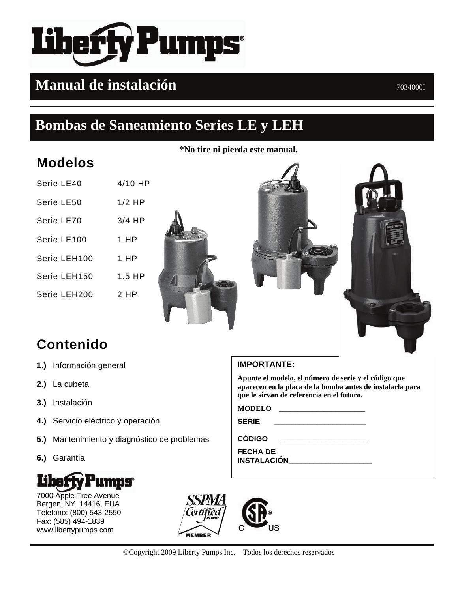# **Pumps**

# **Manual de instalación**  $70340001$

# **Bombas de Saneamiento Series LE y LEH**

**\*No tire ni pierda este manual.**

# **Modelos**

| Serie LE40   | $4/10$ HP |
|--------------|-----------|
| Serie LE50   | $1/2$ HP  |
| Serie LE70   | $3/4$ HP  |
| Serie LE100  | 1 HP      |
| Serie LEH100 | 1 HP      |
| Serie LEH150 | $1.5$ HP  |
| Serie LEH200 | 2 HP      |
|              |           |





# **Contenido**

- **1.)** Información general
- **2.)** La cubeta
- **3.)** Instalación
- **4.)** Servicio eléctrico y operación
- **5.)** Mantenimiento y diagnóstico de problemas
- **6.)** Garantía



7000 Apple Tree Avenue Bergen, NY 14416, EUA Teléfono: (800) 543-2550 Fax: (585) 494-1839 www.libertypumps.com



**Apunte el modelo, el número de serie y el código que aparecen en la placa de la bomba antes de instalarla para que le sirvan de referencia en el futuro.** 

**MODELO \_\_\_\_\_\_\_\_\_\_\_\_\_\_\_\_\_\_\_\_\_\_\_**

**SERIE \_\_\_\_\_\_\_\_\_\_\_\_\_\_\_\_\_\_\_\_\_\_** 

**CÓDIGO \_\_\_\_\_\_\_\_\_\_\_\_\_\_\_\_\_\_\_\_\_** 

**FECHA DE INSTALACIÓN\_\_\_\_\_\_\_\_\_\_\_\_\_\_\_\_\_\_\_\_** 

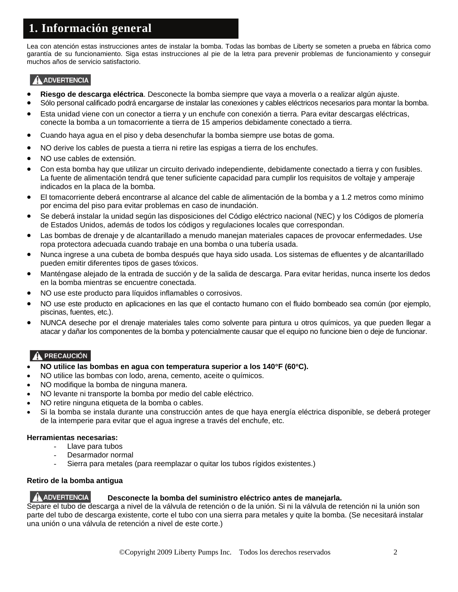# **1. Información general**

Lea con atención estas instrucciones antes de instalar la bomba. Todas las bombas de Liberty se someten a prueba en fábrica como garantía de su funcionamiento. Siga estas instrucciones al pie de la letra para prevenir problemas de funcionamiento y conseguir muchos años de servicio satisfactorio.

### **ADVERTENCIA**

- **Riesgo de descarga eléctrica**. Desconecte la bomba siempre que vaya a moverla o a realizar algún ajuste.
- Sólo personal calificado podrá encargarse de instalar las conexiones y cables eléctricos necesarios para montar la bomba.
- Esta unidad viene con un conector a tierra y un enchufe con conexión a tierra. Para evitar descargas eléctricas, conecte la bomba a un tomacorriente a tierra de 15 amperios debidamente conectado a tierra.
- Cuando haya agua en el piso y deba desenchufar la bomba siempre use botas de goma.
- NO derive los cables de puesta a tierra ni retire las espigas a tierra de los enchufes.
- NO use cables de extensión.
- Con esta bomba hay que utilizar un circuito derivado independiente, debidamente conectado a tierra y con fusibles. La fuente de alimentación tendrá que tener suficiente capacidad para cumplir los requisitos de voltaje y amperaje indicados en la placa de la bomba.
- El tomacorriente deberá encontrarse al alcance del cable de alimentación de la bomba y a 1.2 metros como mínimo por encima del piso para evitar problemas en caso de inundación.
- Se deberá instalar la unidad según las disposiciones del Código eléctrico nacional (NEC) y los Códigos de plomería de Estados Unidos, además de todos los códigos y regulaciones locales que correspondan.
- Las bombas de drenaje y de alcantarillado a menudo manejan materiales capaces de provocar enfermedades. Use ropa protectora adecuada cuando trabaje en una bomba o una tubería usada.
- Nunca ingrese a una cubeta de bomba después que haya sido usada. Los sistemas de efluentes y de alcantarillado pueden emitir diferentes tipos de gases tóxicos.
- Manténgase alejado de la entrada de succión y de la salida de descarga. Para evitar heridas, nunca inserte los dedos en la bomba mientras se encuentre conectada.
- NO use este producto para líquidos inflamables o corrosivos.
- NO use este producto en aplicaciones en las que el contacto humano con el fluido bombeado sea común (por ejemplo, piscinas, fuentes, etc.).
- NUNCA deseche por el drenaje materiales tales como solvente para pintura u otros químicos, ya que pueden llegar a atacar y dañar los componentes de la bomba y potencialmente causar que el equipo no funcione bien o deje de funcionar.

### A PRECAUCIÓN

- **NO utilice las bombas en agua con temperatura superior a los 140**°**F (60**°**C).**
- NO utilice las bombas con lodo, arena, cemento, aceite o químicos.
- NO modifique la bomba de ninguna manera.
- NO levante ni transporte la bomba por medio del cable eléctrico.
- NO retire ninguna etiqueta de la bomba o cables.
- Si la bomba se instala durante una construcción antes de que haya energía eléctrica disponible, se deberá proteger de la intemperie para evitar que el agua ingrese a través del enchufe, etc.

### **Herramientas necesarias:**

- Llave para tubos
- Desarmador normal
- Sierra para metales (para reemplazar o quitar los tubos rígidos existentes.)

### **Retiro de la bomba antigua**

### A ADVERTENCIA **Desconecte la bomba del suministro eléctrico antes de manejarla.**

Separe el tubo de descarga a nivel de la válvula de retención o de la unión. Si ni la válvula de retención ni la unión son parte del tubo de descarga existente, corte el tubo con una sierra para metales y quite la bomba. (Se necesitará instalar una unión o una válvula de retención a nivel de este corte.)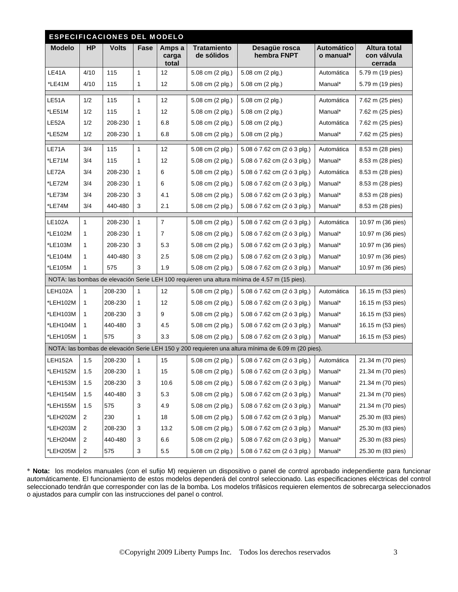| <b>ESPECIFICACIONES DEL MODELO</b> |                         |              |              |                          |                                  |                                                                                                    |                                |                                               |
|------------------------------------|-------------------------|--------------|--------------|--------------------------|----------------------------------|----------------------------------------------------------------------------------------------------|--------------------------------|-----------------------------------------------|
| <b>Modelo</b>                      | <b>HP</b>               | <b>Volts</b> | Fase         | Amps a<br>carga<br>total | <b>Tratamiento</b><br>de sólidos | Desagüe rosca<br>hembra FNPT                                                                       | <b>Automático</b><br>o manual* | <b>Altura total</b><br>con válvula<br>cerrada |
| LE41A                              | 4/10                    | 115          | $\mathbf{1}$ | 12                       | 5.08 cm (2 plg.)                 | 5.08 cm (2 plg.)                                                                                   | Automática                     | 5.79 m (19 pies)                              |
| *LE41M                             | 4/10                    | 115          | $\mathbf{1}$ | 12                       | 5.08 cm (2 plg.)                 | 5.08 cm (2 plg.)                                                                                   | Manual*                        | 5.79 m (19 pies)                              |
| LE51A                              | 1/2                     | 115          | $\mathbf{1}$ | 12                       | 5.08 cm (2 plg.)                 | 5.08 cm (2 plg.)                                                                                   | Automática                     | 7.62 m (25 pies)                              |
| *LE51M                             | 1/2                     | 115          | 1            | 12                       | 5.08 cm (2 plg.)                 | 5.08 cm (2 plg.)                                                                                   | Manual*                        | 7.62 m (25 pies)                              |
| LE52A                              | 1/2                     | 208-230      | 1            | 6.8                      | 5.08 cm (2 plg.)                 | 5.08 cm (2 plg.)                                                                                   | Automática                     | 7.62 m (25 pies)                              |
| *LE52M                             | 1/2                     | 208-230      | $\mathbf{1}$ | 6.8                      | 5.08 cm (2 plg.)                 | 5.08 cm (2 plg.)                                                                                   | Manual*                        | 7.62 m (25 pies)                              |
| LE71A                              | 3/4                     | 115          | $\mathbf{1}$ | 12                       | 5.08 cm (2 plg.)                 | 5.08 ó 7.62 cm (2 ó 3 plg.)                                                                        | Automática                     | 8.53 m (28 pies)                              |
| *LE71M                             | 3/4                     | 115          | 1            | 12                       | 5.08 cm (2 plg.)                 | 5.08 ó 7.62 cm (2 ó 3 plg.)                                                                        | Manual*                        | 8.53 m (28 pies)                              |
| LE72A                              | 3/4                     | 208-230      | 1            | 6                        | 5.08 cm (2 plg.)                 | 5.08 ó 7.62 cm (2 ó 3 plg.)                                                                        | Automática                     | 8.53 m (28 pies)                              |
| *LE72M                             | 3/4                     | 208-230      | $\mathbf{1}$ | 6                        | 5.08 cm (2 plg.)                 | 5.08 ó 7.62 cm (2 ó 3 plg.)                                                                        | Manual*                        | 8.53 m (28 pies)                              |
| *LE73M                             | 3/4                     | 208-230      | 3            | 4.1                      | 5.08 cm (2 plg.)                 | 5.08 ó 7.62 cm (2 ó 3 plg.)                                                                        | Manual*                        | 8.53 m (28 pies)                              |
| *LE74M                             | 3/4                     | 440-480      | 3            | 2.1                      | 5.08 cm (2 plg.)                 | 5.08 ó 7.62 cm (2 ó 3 plg.)                                                                        | Manual*                        | 8.53 m (28 pies)                              |
| <b>LE102A</b>                      | $\mathbf{1}$            | 208-230      | $\mathbf{1}$ | $\overline{7}$           | 5.08 cm (2 plg.)                 | 5.08 ó 7.62 cm (2 ó 3 plg.)                                                                        | Automática                     | 10.97 m (36 pies)                             |
| *LE102M                            | 1                       | 208-230      | $\mathbf{1}$ | $\overline{7}$           | 5.08 cm (2 plg.)                 | 5.08 ó 7.62 cm (2 ó 3 plg.)                                                                        | Manual*                        | 10.97 m (36 pies)                             |
| *LE103M                            | 1                       | 208-230      | $\sqrt{3}$   | 5.3                      | 5.08 cm (2 plg.)                 | 5.08 ó 7.62 cm (2 ó 3 plg.)                                                                        | Manual*                        | 10.97 m (36 pies)                             |
| *LE104M                            | 1                       | 440-480      | 3            | 2.5                      | 5.08 cm (2 plg.)                 | 5.08 ó 7.62 cm (2 ó 3 plg.)                                                                        | Manual*                        | 10.97 m (36 pies)                             |
| *LE105M                            | $\mathbf{1}$            | 575          | 3            | 1.9                      | 5.08 cm (2 plg.)                 | 5.08 ó 7.62 cm (2 ó 3 plg.)                                                                        | Manual*                        | 10.97 m (36 pies)                             |
|                                    |                         |              |              |                          |                                  | NOTA: las bombas de elevación Serie LEH 100 requieren una altura mínima de 4.57 m (15 pies).       |                                |                                               |
| LEH102A                            | $\mathbf{1}$            | 208-230      | $\mathbf{1}$ | 12                       | 5.08 cm (2 plg.)                 | 5.08 ó 7.62 cm (2 ó 3 plg.)                                                                        | Automática                     | 16.15 m (53 pies)                             |
| *LEH102M                           | 1                       | 208-230      | $\mathbf{1}$ | 12                       | 5.08 cm (2 plg.)                 | 5.08 ó 7.62 cm (2 ó 3 plg.)                                                                        | Manual*                        | 16.15 m (53 pies)                             |
| *LEH103M                           | 1                       | 208-230      | 3            | 9                        | 5.08 cm (2 plg.)                 | 5.08 ó 7.62 cm (2 ó 3 plg.)                                                                        | Manual*                        | 16.15 m (53 pies)                             |
| *LEH104M                           | 1                       | 440-480      | 3            | 4.5                      | 5.08 cm (2 plg.)                 | 5.08 ó 7.62 cm (2 ó 3 plg.)                                                                        | Manual*                        | 16.15 m (53 pies)                             |
| *LEH105M                           | $\mathbf{1}$            | 575          | 3            | 3.3                      | 5.08 cm (2 plg.)                 | 5.08 ó 7.62 cm (2 ó 3 plg.)                                                                        | Manual*                        | 16.15 m (53 pies)                             |
|                                    |                         |              |              |                          |                                  | NOTA: las bombas de elevación Serie LEH 150 y 200 requieren una altura mínima de 6.09 m (20 pies). |                                |                                               |
| LEH152A                            | 1.5                     | 208-230      | $\mathbf{1}$ | 15                       | 5.08 cm (2 plg.)                 | 5.08 ó 7.62 cm (2 ó 3 plg.)                                                                        | Automática                     | 21.34 m (70 pies)                             |
| *LEH152M                           | 1.5                     | 208-230      | $\mathbf{1}$ | 15                       | 5.08 cm (2 plg.)                 | 5.08 ó 7.62 cm (2 ó 3 plg.)                                                                        | Manual*                        | 21.34 m (70 pies)                             |
| *LEH153M                           | 1.5                     | 208-230      | 3            | 10.6                     | 5.08 cm (2 plg.)                 | 5.08 ó 7.62 cm (2 ó 3 plg.)                                                                        | Manual*                        | 21.34 m (70 pies)                             |
| *LEH154M                           | 1.5                     | 440-480      | 3            | 5.3                      | 5.08 cm (2 plg.)                 | 5.08 ó 7.62 cm (2 ó 3 plg.)                                                                        | Manual*                        | 21.34 m (70 pies)                             |
| *LEH155M                           | 1.5                     | 575          | 3            | 4.9                      | 5.08 cm (2 plg.)                 | 5.08 ó 7.62 cm (2 ó 3 plg.)                                                                        | Manual*                        | 21.34 m (70 pies)                             |
| *LEH202M                           | 2                       | 230          | 1            | 18                       | 5.08 cm (2 plg.)                 | 5.08 ó 7.62 cm (2 ó 3 plg.)                                                                        | Manual*                        | 25.30 m (83 pies)                             |
| *LEH203M                           | 2                       | 208-230      | 3            | 13.2                     | 5.08 cm (2 plg.)                 | 5.08 ó 7.62 cm (2 ó 3 plg.)                                                                        | Manual*                        | 25.30 m (83 pies)                             |
| *LEH204M                           | 2                       | 440-480      | 3            | 6.6                      | 5.08 cm (2 plg.)                 | 5.08 ó 7.62 cm (2 ó 3 plg.)                                                                        | Manual*                        | 25.30 m (83 pies)                             |
| *LEH205M                           | $\overline{\mathbf{c}}$ | 575          | 3            | $5.5\,$                  | 5.08 cm (2 plg.)                 | 5.08 ó 7.62 cm (2 ó 3 plg.)                                                                        | Manual*                        | 25.30 m (83 pies)                             |

∗ **Nota:** los modelos manuales (con el sufijo M) requieren un dispositivo o panel de control aprobado independiente para funcionar automáticamente. El funcionamiento de estos modelos dependerá del control seleccionado. Las especificaciones eléctricas del control seleccionado tendrán que corresponder con las de la bomba. Los modelos trifásicos requieren elementos de sobrecarga seleccionados o ajustados para cumplir con las instrucciones del panel o control.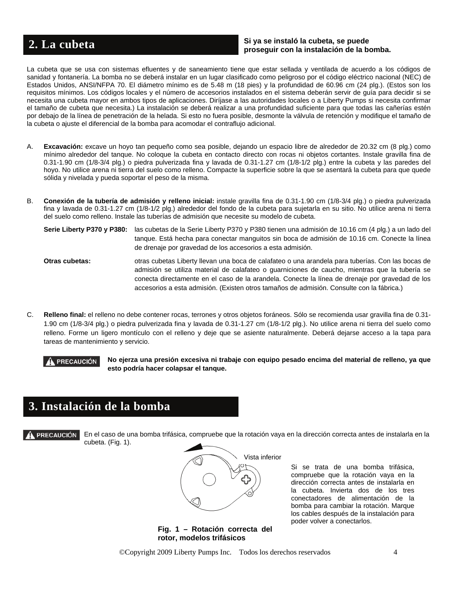### **Si ya se instaló la cubeta, se puede provide a la cubeta provide a la cubeta a la cubeta de la bomba. a la cubeta de la bomba. a la cubeta de la bomba. a la cubeta de la bomba. a la cubeta de la bomba.**

La cubeta que se usa con sistemas efluentes y de saneamiento tiene que estar sellada y ventilada de acuerdo a los códigos de sanidad y fontanería. La bomba no se deberá instalar en un lugar clasificado como peligroso por el código eléctrico nacional (NEC) de Estados Unidos, ANSI/NFPA 70. El diámetro mínimo es de 5.48 m (18 pies) y la profundidad de 60.96 cm (24 plg.). (Estos son los requisitos mínimos. Los códigos locales y el número de accesorios instalados en el sistema deberán servir de guía para decidir si se necesita una cubeta mayor en ambos tipos de aplicaciones. Diríjase a las autoridades locales o a Liberty Pumps si necesita confirmar el tamaño de cubeta que necesita.) La instalación se deberá realizar a una profundidad suficiente para que todas las cañerías estén por debajo de la línea de penetración de la helada. Si esto no fuera posible, desmonte la válvula de retención y modifique el tamaño de la cubeta o ajuste el diferencial de la bomba para acomodar el contraflujo adicional.

- A. **Excavación:** excave un hoyo tan pequeño como sea posible, dejando un espacio libre de alrededor de 20.32 cm (8 plg.) como mínimo alrededor del tanque. No coloque la cubeta en contacto directo con rocas ni objetos cortantes. Instale gravilla fina de 0.31-1.90 cm (1/8-3/4 plg.) o piedra pulverizada fina y lavada de 0.31-1.27 cm (1/8-1/2 plg.) entre la cubeta y las paredes del hoyo. No utilice arena ni tierra del suelo como relleno. Compacte la superficie sobre la que se asentará la cubeta para que quede sólida y nivelada y pueda soportar el peso de la misma.
- B. **Conexión de la tubería de admisión y relleno inicial:** instale gravilla fina de 0.31-1.90 cm (1/8-3/4 plg.) o piedra pulverizada fina y lavada de 0.31-1.27 cm (1/8-1/2 plg.) alrededor del fondo de la cubeta para sujetarla en su sitio. No utilice arena ni tierra del suelo como relleno. Instale las tuberías de admisión que necesite su modelo de cubeta.
	- **Serie Liberty P370 y P380:** las cubetas de la Serie Liberty P370 y P380 tienen una admisión de 10.16 cm (4 plg.) a un lado del tanque. Está hecha para conectar manguitos sin boca de admisión de 10.16 cm. Conecte la línea de drenaje por gravedad de los accesorios a esta admisión.
	- **Otras cubetas:** otras cubetas Liberty llevan una boca de calafateo o una arandela para tuberías. Con las bocas de admisión se utiliza material de calafateo o guarniciones de caucho, mientras que la tubería se conecta directamente en el caso de la arandela. Conecte la línea de drenaje por gravedad de los accesorios a esta admisión. (Existen otros tamaños de admisión. Consulte con la fábrica.)
- C. **Relleno final:** el relleno no debe contener rocas, terrones y otros objetos foráneos. Sólo se recomienda usar gravilla fina de 0.31- 1.90 cm (1/8-3/4 plg.) o piedra pulverizada fina y lavada de 0.31-1.27 cm (1/8-1/2 plg.). No utilice arena ni tierra del suelo como relleno. Forme un ligero montículo con el relleno y deje que se asiente naturalmente. Deberá dejarse acceso a la tapa para tareas de mantenimiento y servicio.

 **No ejerza una presión excesiva ni trabaje con equipo pesado encima del material de relleno, ya que esto podría hacer colapsar el tanque.** 

## **3. Instalación de la bomba**

**PRECAUCIÓN** 

En el caso de una bomba trifásica, compruebe que la rotación vaya en la dirección correcta antes de instalarla en la cubeta. (Fig. 1).



**Fig. 1 – Rotación correcta del rotor, modelos trifásicos**

Si se trata de una bomba trifásica, compruebe que la rotación vaya en la dirección correcta antes de instalarla en la cubeta. Invierta dos de los tres conectadores de alimentación de la bomba para cambiar la rotación. Marque los cables después de la instalación para poder volver a conectarlos.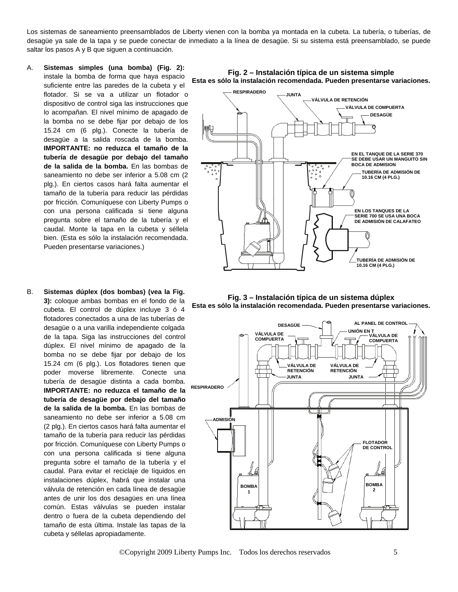Los sistemas de saneamiento preensamblados de Liberty vienen con la bomba ya montada en la cubeta. La tubería, o tuberías, de desagüe ya sale de la tapa y se puede conectar de inmediato a la línea de desagüe. Si su sistema está preensamblado, se puede saltar los pasos A y B que siguen a continuación.

- A. **Sistemas simples (una bomba) (Fig. 2):** instale la bomba de forma que haya espacio suficiente entre las paredes de la cubeta y el flotador. Si se va a utilizar un flotador o dispositivo de control siga las instrucciones que lo acompañan. El nivel mínimo de apagado de la bomba no se debe fijar por debajo de los 15.24 cm (6 plg.). Conecte la tubería de desagüe a la salida roscada de la bomba. **IMPORTANTE: no reduzca el tamaño de la tubería de desagüe por debajo del tamaño de la salida de la bomba.** En las bombas de saneamiento no debe ser inferior a 5.08 cm (2 plg.). En ciertos casos hará falta aumentar el tamaño de la tubería para reducir las pérdidas por fricción. Comuníquese con Liberty Pumps o con una persona calificada si tiene alguna pregunta sobre el tamaño de la tubería y el caudal. Monte la tapa en la cubeta y séllela bien. (Esta es sólo la instalación recomendada. Pueden presentarse variaciones.)
- B. **Sistemas dúplex (dos bombas) (vea la Fig. 3):** coloque ambas bombas en el fondo de la cubeta. El control de dúplex incluye 3 ó 4 flotadores conectados a una de las tuberías de desagüe o a una varilla independiente colgada de la tapa. Siga las instrucciones del control dúplex. El nivel mínimo de apagado de la bomba no se debe fijar por debajo de los 15.24 cm (6 plg.). Los flotadores tienen que poder moverse libremente. Conecte una tubería de desagüe distinta a cada bomba. **IMPORTANTE: no reduzca el tamaño de la tubería de desagüe por debajo del tamaño de la salida de la bomba.** En las bombas de saneamiento no debe ser inferior a 5.08 cm (2 plg.). En ciertos casos hará falta aumentar el tamaño de la tubería para reducir las pérdidas por fricción. Comuníquese con Liberty Pumps o con una persona calificada si tiene alguna pregunta sobre el tamaño de la tubería y el caudal. Para evitar el reciclaje de líquidos en instalaciones dúplex, habrá que instalar una válvula de retención en cada línea de desagüe antes de unir los dos desagües en una línea común. Estas válvulas se pueden instalar dentro o fuera de la cubeta dependiendo del tamaño de esta última. Instale las tapas de la cubeta y séllelas apropiadamente.



**Fig. 3 – Instalación típica de un sistema dúplex Esta es sólo la instalación recomendada. Pueden presentarse variaciones.**



**Fig. 2 – Instalación típica de un sistema simple**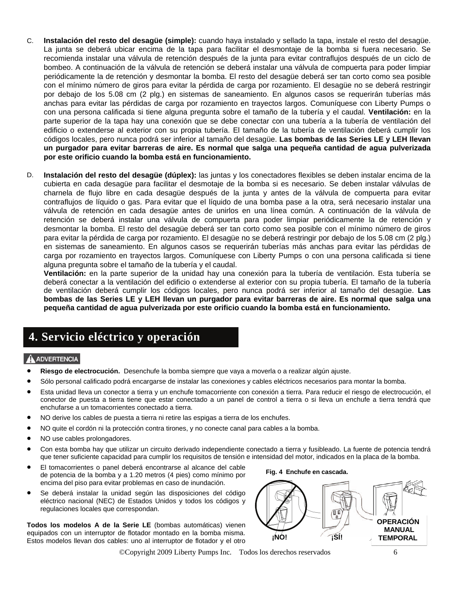- C. **Instalación del resto del desagüe (simple):** cuando haya instalado y sellado la tapa, instale el resto del desagüe. La junta se deberá ubicar encima de la tapa para facilitar el desmontaje de la bomba si fuera necesario. Se recomienda instalar una válvula de retención después de la junta para evitar contraflujos después de un ciclo de bombeo. A continuación de la válvula de retención se deberá instalar una válvula de compuerta para poder limpiar periódicamente la de retención y desmontar la bomba. El resto del desagüe deberá ser tan corto como sea posible con el mínimo número de giros para evitar la pérdida de carga por rozamiento. El desagüe no se deberá restringir por debajo de los 5.08 cm (2 plg.) en sistemas de saneamiento. En algunos casos se requerirán tuberías más anchas para evitar las pérdidas de carga por rozamiento en trayectos largos. Comuníquese con Liberty Pumps o con una persona calificada si tiene alguna pregunta sobre el tamaño de la tubería y el caudal. **Ventilación:** en la parte superior de la tapa hay una conexión que se debe conectar con una tubería a la tubería de ventilación del edificio o extenderse al exterior con su propia tubería. El tamaño de la tubería de ventilación deberá cumplir los códigos locales, pero nunca podrá ser inferior al tamaño del desagüe. **Las bombas de las Series LE y LEH llevan un purgador para evitar barreras de aire. Es normal que salga una pequeña cantidad de agua pulverizada por este orificio cuando la bomba está en funcionamiento.**
- D. **Instalación del resto del desagüe (dúplex):** las juntas y los conectadores flexibles se deben instalar encima de la cubierta en cada desagüe para facilitar el desmotaje de la bomba si es necesario. Se deben instalar válvulas de charnela de flujo libre en cada desagüe después de la junta y antes de la válvula de compuerta para evitar contraflujos de líquido o gas. Para evitar que el líquido de una bomba pase a la otra, será necesario instalar una válvula de retención en cada desagüe antes de unirlos en una línea común. A continuación de la válvula de retención se deberá instalar una válvula de compuerta para poder limpiar periódicamente la de retención y desmontar la bomba. El resto del desagüe deberá ser tan corto como sea posible con el mínimo número de giros para evitar la pérdida de carga por rozamiento. El desagüe no se deberá restringir por debajo de los 5.08 cm (2 plg.) en sistemas de saneamiento. En algunos casos se requerirán tuberías más anchas para evitar las pérdidas de carga por rozamiento en trayectos largos. Comuníquese con Liberty Pumps o con una persona calificada si tiene alguna pregunta sobre el tamaño de la tubería y el caudal.

**Ventilación:** en la parte superior de la unidad hay una conexión para la tubería de ventilación. Esta tubería se deberá conectar a la ventilación del edificio o extenderse al exterior con su propia tubería. El tamaño de la tubería de ventilación deberá cumplir los códigos locales, pero nunca podrá ser inferior al tamaño del desagüe. **Las bombas de las Series LE y LEH llevan un purgador para evitar barreras de aire. Es normal que salga una pequeña cantidad de agua pulverizada por este orificio cuando la bomba está en funcionamiento.**

### **4. Servicio eléctrico y operación**

### A ADVERTENCIA

- **Riesgo de electrocución.** Desenchufe la bomba siempre que vaya a moverla o a realizar algún ajuste.
- Sólo personal calificado podrá encargarse de instalar las conexiones y cables eléctricos necesarios para montar la bomba.
- Esta unidad lleva un conector a tierra y un enchufe tomacorriente con conexión a tierra. Para reducir el riesgo de electrocución, el conector de puesta a tierra tiene que estar conectado a un panel de control a tierra o si lleva un enchufe a tierra tendrá que enchufarse a un tomacorrientes conectado a tierra.
- NO derive los cables de puesta a tierra ni retire las espigas a tierra de los enchufes.
- NO quite el cordón ni la protección contra tirones, y no conecte canal para cables a la bomba.
- NO use cables prolongadores.
- Con esta bomba hay que utilizar un circuito derivado independiente conectado a tierra y fusibleado. La fuente de potencia tendrá que tener suficiente capacidad para cumplir los requisitos de tensión e intensidad del motor, indicados en la placa de la bomba.
- El tomacorrientes o panel deberá encontrarse al alcance del cable de potencia de la bomba y a 1.20 metros (4 pies) como mínimo por encima del piso para evitar problemas en caso de inundación.
- Se deberá instalar la unidad según las disposiciones del código eléctrico nacional (NEC) de Estados Unidos y todos los códigos y regulaciones locales que correspondan.

**Todos los modelos A de la Serie LE** (bombas automáticas) vienen equipados con un interruptor de flotador montado en la bomba misma. Estos modelos llevan dos cables: uno al interruptor de flotador y el otro **Fig. 4 Enchufe en cascada.**



©Copyright 2009 Liberty Pumps Inc. Todos los derechos reservados 6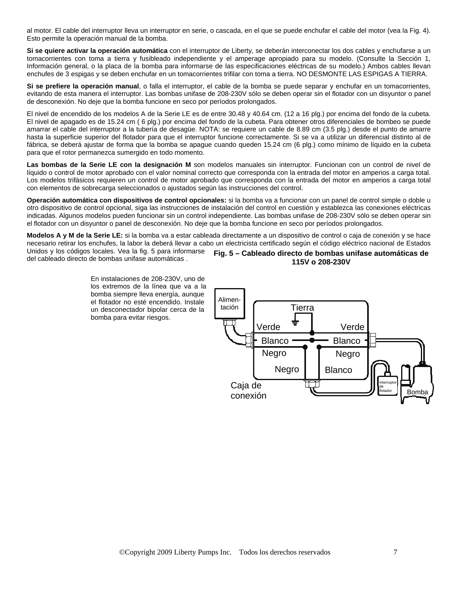al motor. El cable del interruptor lleva un interruptor en serie, o cascada, en el que se puede enchufar el cable del motor (vea la Fig. 4). Esto permite la operación manual de la bomba.

**Si se quiere activar la operación automática** con el interruptor de Liberty, se deberán interconectar los dos cables y enchufarse a un tomacorrientes con toma a tierra y fusibleado independiente y el amperage apropiado para su modelo. (Consulte la Sección 1, Información general, o la placa de la bomba para informarse de las especificaciones eléctricas de su modelo.) Ambos cables llevan enchufes de 3 espigas y se deben enchufar en un tomacorrientes trifilar con toma a tierra. NO DESMONTE LAS ESPIGAS A TIERRA.

**Si se prefiere la operación manual**, o falla el interruptor, el cable de la bomba se puede separar y enchufar en un tomacorrientes, evitando de esta manera el interruptor. Las bombas unifase de 208-230V sólo se deben operar sin el flotador con un disyuntor o panel de desconexión. No deje que la bomba funcione en seco por períodos prolongados.

El nivel de encendido de los modelos A de la Serie LE es de entre 30.48 y 40.64 cm. (12 a 16 plg.) por encima del fondo de la cubeta. El nivel de apagado es de 15.24 cm ( 6 plg.) por encima del fondo de la cubeta. Para obtener otros diferenciales de bombeo se puede amarrar el cable del interruptor a la tubería de desagüe. NOTA: se requiere un cable de 8.89 cm (3.5 plg.) desde el punto de amarre hasta la superficie superior del flotador para que el interruptor funcione correctamente. Si se va a utilizar un diferencial distinto al de fábrica, se deberá ajustar de forma que la bomba se apague cuando queden 15.24 cm (6 plg.) como mínimo de líquido en la cubeta para que el rotor permanezca sumergido en todo momento.

**Las bombas de la Serie LE con la designación M** son modelos manuales sin interruptor. Funcionan con un control de nivel de líquido o control de motor aprobado con el valor nominal correcto que corresponda con la entrada del motor en amperios a carga total. Los modelos trifásicos requieren un control de motor aprobado que corresponda con la entrada del motor en amperios a carga total con elementos de sobrecarga seleccionados o ajustados según las instrucciones del control.

**Operación automática con dispositivos de control opcionales:** si la bomba va a funcionar con un panel de control simple o doble u otro dispositivo de control opcional, siga las instrucciones de instalación del control en cuestión y establezca las conexiones eléctricas indicadas. Algunos modelos pueden funcionar sin un control independiente. Las bombas unifase de 208-230V sólo se deben operar sin el flotador con un disyuntor o panel de desconexión. No deje que la bomba funcione en seco por períodos prolongados.

**Modelos A y M de la Serie LE:** si la bomba va a estar cableada directamente a un dispositivo de control o caja de conexión y se hace necesario retirar los enchufes, la labor la deberá llevar a cabo un electricista certificado según el código eléctrico nacional de Estados Unidos y los códigos locales. Vea la fig. 5 para informarse

del cableado directo de bombas unifase automáticas .

En instalaciones de 208-230V, uno de los extremos de la línea que va a la bomba siempre lleva energía, aunque el flotador no esté encendido. Instale un desconectador bipolar cerca de la bomba para evitar riesgos.



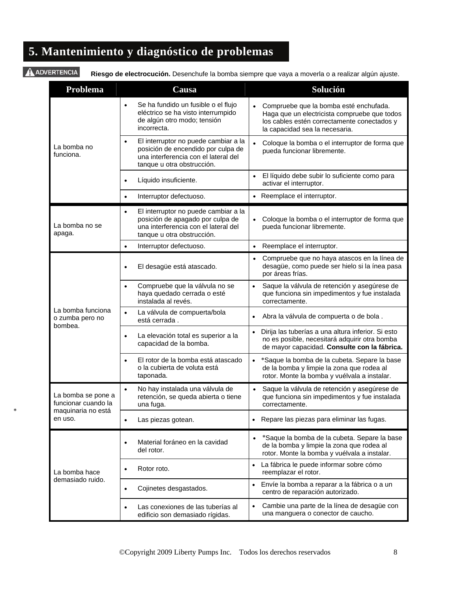# **5. Mantenimiento y diagnóstico de problemas**

### AADVERTENCIA

∗

**Riesgo de electrocución.** Desenchufe la bomba siempre que vaya a moverla o a realizar algún ajuste.

| <b>Problema</b>                                 | Causa                                                                                                                                                         | Solución                                                                                                                                                                |
|-------------------------------------------------|---------------------------------------------------------------------------------------------------------------------------------------------------------------|-------------------------------------------------------------------------------------------------------------------------------------------------------------------------|
|                                                 | Se ha fundido un fusible o el flujo<br>$\bullet$<br>eléctrico se ha visto interrumpido<br>de algún otro modo; tensión<br>incorrecta.                          | Compruebe que la bomba esté enchufada.<br>Haga que un electricista compruebe que todos<br>los cables estén correctamente conectados y<br>la capacidad sea la necesaria. |
| La bomba no<br>funciona.                        | El interruptor no puede cambiar a la<br>$\bullet$<br>posición de encendido por culpa de<br>una interferencia con el lateral del<br>tanque u otra obstrucción. | Coloque la bomba o el interruptor de forma que<br>pueda funcionar libremente.                                                                                           |
|                                                 | Líquido insuficiente.                                                                                                                                         | El líquido debe subir lo suficiente como para<br>activar el interruptor.                                                                                                |
|                                                 | Interruptor defectuoso.<br>$\bullet$                                                                                                                          | • Reemplace el interruptor.                                                                                                                                             |
| La bomba no se<br>apaga.                        | El interruptor no puede cambiar a la<br>$\bullet$<br>posición de apagado por culpa de<br>una interferencia con el lateral del<br>tanque u otra obstrucción.   | Coloque la bomba o el interruptor de forma que<br>$\bullet$<br>pueda funcionar libremente.                                                                              |
|                                                 | Interruptor defectuoso.<br>$\bullet$                                                                                                                          | • Reemplace el interruptor.                                                                                                                                             |
|                                                 | El desagüe está atascado.<br>$\bullet$                                                                                                                        | Compruebe que no haya atascos en la línea de<br>desagüe, como puede ser hielo si la ínea pasa<br>por áreas frías.                                                       |
|                                                 | Compruebe que la válvula no se<br>$\bullet$<br>haya quedado cerrada o esté<br>instalada al revés.                                                             | Saque la válvula de retención y asegúrese de<br>$\bullet$<br>que funciona sin impedimentos y fue instalada<br>correctamente.                                            |
| La bomba funciona<br>o zumba pero no<br>bombea. | La válvula de compuerta/bola<br>$\bullet$<br>está cerrada.                                                                                                    | Abra la válvula de compuerta o de bola.<br>$\bullet$                                                                                                                    |
|                                                 | La elevación total es superior a la<br>$\bullet$<br>capacidad de la bomba.                                                                                    | · Dirija las tuberías a una altura inferior. Si esto<br>no es posible, necesitará adquirir otra bomba<br>de mayor capacidad. Consulte con la fábrica.                   |
|                                                 | El rotor de la bomba está atascado<br>$\bullet$<br>o la cubierta de voluta está<br>taponada.                                                                  | *Saque la bomba de la cubeta. Separe la base<br>$\bullet$<br>de la bomba y limpie la zona que rodea al<br>rotor. Monte la bomba y vuélvala a instalar.                  |
| La bomba se pone a<br>funcionar cuando la       | No hay instalada una válvula de<br>$\bullet$<br>retención, se queda abierta o tiene<br>una fuga.                                                              | Saque la válvula de retención y asegúrese de<br>$\bullet$<br>que funciona sin impedimentos y fue instalada<br>correctamente.                                            |
| maquinaria no está<br>en uso.                   | Las piezas gotean.<br>٠                                                                                                                                       | Repare las piezas para eliminar las fugas.<br>٠                                                                                                                         |
|                                                 | Material foráneo en la cavidad<br>$\bullet$<br>del rotor.                                                                                                     | *Saque la bomba de la cubeta. Separe la base<br>$\bullet$<br>de la bomba y limpie la zona que rodea al<br>rotor. Monte la bomba y vuélvala a instalar.                  |
| La bomba hace                                   | Rotor roto.                                                                                                                                                   | La fábrica le puede informar sobre cómo<br>$\bullet$<br>reemplazar el rotor.                                                                                            |
| demasiado ruido.                                | Cojinetes desgastados.<br>٠                                                                                                                                   | Envíe la bomba a reparar a la fábrica o a un<br>$\bullet$<br>centro de reparación autorizado.                                                                           |
|                                                 | Las conexiones de las tuberías al<br>edificio son demasiado rígidas.                                                                                          | Cambie una parte de la línea de desagüe con<br>$\bullet$<br>una manguera o conector de caucho.                                                                          |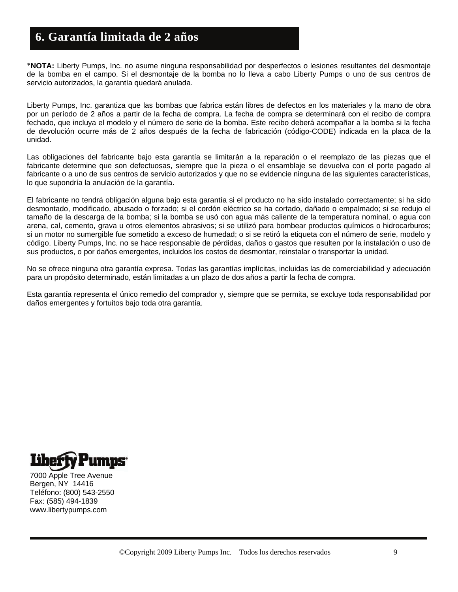### **6. Garantía limitada de 2 años**

∗**NOTA:** Liberty Pumps, Inc. no asume ninguna responsabilidad por desperfectos o lesiones resultantes del desmontaje de la bomba en el campo. Si el desmontaje de la bomba no lo lleva a cabo Liberty Pumps o uno de sus centros de servicio autorizados, la garantía quedará anulada.

Liberty Pumps, Inc. garantiza que las bombas que fabrica están libres de defectos en los materiales y la mano de obra por un período de 2 años a partir de la fecha de compra. La fecha de compra se determinará con el recibo de compra fechado, que incluya el modelo y el número de serie de la bomba. Este recibo deberá acompañar a la bomba si la fecha de devolución ocurre más de 2 años después de la fecha de fabricación (código-CODE) indicada en la placa de la unidad.

Las obligaciones del fabricante bajo esta garantía se limitarán a la reparación o el reemplazo de las piezas que el fabricante determine que son defectuosas, siempre que la pieza o el ensamblaje se devuelva con el porte pagado al fabricante o a uno de sus centros de servicio autorizados y que no se evidencie ninguna de las siguientes características, lo que supondría la anulación de la garantía.

El fabricante no tendrá obligación alguna bajo esta garantía si el producto no ha sido instalado correctamente; si ha sido desmontado, modificado, abusado o forzado; si el cordón eléctrico se ha cortado, dañado o empalmado; si se redujo el tamaño de la descarga de la bomba; si la bomba se usó con agua más caliente de la temperatura nominal, o agua con arena, cal, cemento, grava u otros elementos abrasivos; si se utilizó para bombear productos químicos o hidrocarburos; si un motor no sumergible fue sometido a exceso de humedad; o si se retiró la etiqueta con el número de serie, modelo y código. Liberty Pumps, Inc. no se hace responsable de pérdidas, daños o gastos que resulten por la instalación o uso de sus productos, o por daños emergentes, incluidos los costos de desmontar, reinstalar o transportar la unidad.

No se ofrece ninguna otra garantía expresa. Todas las garantías implícitas, incluidas las de comerciabilidad y adecuación para un propósito determinado, están limitadas a un plazo de dos años a partir la fecha de compra.

Esta garantía representa el único remedio del comprador y, siempre que se permita, se excluye toda responsabilidad por daños emergentes y fortuitos bajo toda otra garantía.



7000 Apple Tree Avenue Bergen, NY 14416 Teléfono: (800) 543-2550 Fax: (585) 494-1839 www.libertypumps.com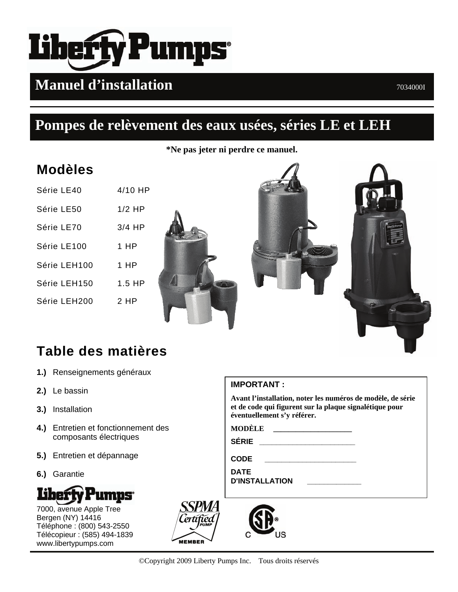

# **Manuel d'installation**  $70340001$

# **Pompes de relèvement des eaux usées, séries LE et LEH**

**\*Ne pas jeter ni perdre ce manuel.**

# **Modèles**

| Série LE40   | $4/10$ HP |
|--------------|-----------|
| Série LE50   | $1/2$ HP  |
| Série LE70   | $3/4$ HP  |
| Série LE100  | 1 HP      |
| Série LEH100 | 1 HP      |
| Série LEH150 | $1.5$ HP  |
| Série LEH200 | 2 HP      |





# **Table des matières**

- **1.)** Renseignements généraux
- **2.)** Le bassin
- **3.)** Installation
- **4.)** Entretien et fonctionnement des composants électriques
- **5.)** Entretien et dépannage
- **6.)** Garantie



7000, avenue Apple Tree Bergen (NY) 14416 Téléphone : (800) 543-2550 Télécopieur : (585) 494-1839 www.libertypumps.com



### **IMPORTANT :**

**Avant l'installation, noter les numéros de modèle, de série et de code qui figurent sur la plaque signalétique pour éventuellement s'y référer.** 

**MODÈLE \_\_\_\_\_\_\_\_\_\_\_\_\_\_\_\_\_\_\_\_\_**

**SÉRIE \_\_\_\_\_\_\_\_\_\_\_\_\_\_\_\_\_\_\_\_\_\_\_** 

**CODE \_\_\_\_\_\_\_\_\_\_\_\_\_\_\_\_\_\_\_\_\_\_** 

**DATE D'INSTALLATION \_\_\_\_\_\_\_\_\_\_\_\_\_** 

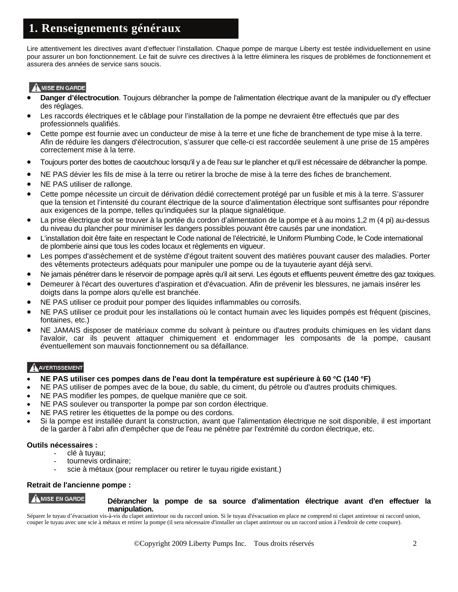### **1. Renseignements généraux**

Lire attentivement les directives avant d'effectuer l'installation. Chaque pompe de marque Liberty est testée individuellement en usine pour assurer un bon fonctionnement. Le fait de suivre ces directives à la lettre éliminera les risques de problèmes de fonctionnement et assurera des années de service sans soucis.

### **AMISE EN GARDE**

- **Danger d'électrocution**. Toujours débrancher la pompe de l'alimentation électrique avant de la manipuler ou d'y effectuer des réglages.
- Les raccords électriques et le câblage pour l'installation de la pompe ne devraient être effectués que par des professionnels qualifiés.
- Cette pompe est fournie avec un conducteur de mise à la terre et une fiche de branchement de type mise à la terre. Afin de réduire les dangers d'électrocution, s'assurer que celle-ci est raccordée seulement à une prise de 15 ampères correctement mise à la terre.
- Toujours porter des bottes de caoutchouc lorsqu'il y a de l'eau sur le plancher et qu'il est nécessaire de débrancher la pompe.
- NE PAS dévier les fils de mise à la terre ou retirer la broche de mise à la terre des fiches de branchement.
- NE PAS utiliser de rallonge.
- Cette pompe nécessite un circuit de dérivation dédié correctement protégé par un fusible et mis à la terre. S'assurer que la tension et l'intensité du courant électrique de la source d'alimentation électrique sont suffisantes pour répondre aux exigences de la pompe, telles qu'indiquées sur la plaque signalétique.
- La prise électrique doit se trouver à la portée du cordon d'alimentation de la pompe et à au moins 1,2 m (4 pi) au-dessus du niveau du plancher pour minimiser les dangers possibles pouvant être causés par une inondation.
- L'installation doit être faite en respectant le Code national de l'électricité, le Uniform Plumbing Code, le Code international de plomberie ainsi que tous les codes locaux et règlements en vigueur.
- Les pompes d'assèchement et de système d'égout traitent souvent des matières pouvant causer des maladies. Porter des vêtements protecteurs adéquats pour manipuler une pompe ou de la tuyauterie ayant déjà servi.
- Ne jamais pénétrer dans le réservoir de pompage après qu'il ait servi. Les égouts et effluents peuvent émettre des gaz toxiques.
- Demeurer à l'écart des ouvertures d'aspiration et d'évacuation. Afin de prévenir les blessures, ne jamais insérer les doigts dans la pompe alors qu'elle est branchée.
- NE PAS utiliser ce produit pour pomper des liquides inflammables ou corrosifs.
- NE PAS utiliser ce produit pour les installations où le contact humain avec les liquides pompés est fréquent (piscines, fontaines, etc.)
- NE JAMAIS disposer de matériaux comme du solvant à peinture ou d'autres produits chimiques en les vidant dans l'avaloir, car ils peuvent attaquer chimiquement et endommager les composants de la pompe, causant éventuellement son mauvais fonctionnement ou sa défaillance.

### AVERTISSEMENT

- **NE PAS utiliser ces pompes dans de l'eau dont la température est supérieure à 60** °**C (140** °**F)**
- NE PAS utiliser de pompes avec de la boue, du sable, du ciment, du pétrole ou d'autres produits chimiques.
- NE PAS modifier les pompes, de quelque manière que ce soit.
- NE PAS soulever ou transporter la pompe par son cordon électrique.
- NE PAS retirer les étiquettes de la pompe ou des cordons.
- Si la pompe est installée durant la construction, avant que l'alimentation électrique ne soit disponible, il est important de la garder à l'abri afin d'empêcher que de l'eau ne pénètre par l'extrémité du cordon électrique, etc.

### **Outils nécessaires :**

- clé à tuyau;
- tournevis ordinaire;
- scie à métaux (pour remplacer ou retirer le tuyau rigide existant.)

### **Retrait de l'ancienne pompe :**

### A MISE EN GARDE **Débrancher la pompe de sa source d'alimentation électrique avant d'en effectuer la manipulation.**

Séparer le tuyau d'évacuation vis-à-vis du clapet antiretour ou du raccord union. Si le tuyau d'évacuation en place ne comprend ni clapet antiretour ni raccord union, couper le tuyau avec une scie à métaux et retirer la pompe (il sera nécessaire d'installer un clapet antiretour ou un raccord union à l'endroit de cette coupure).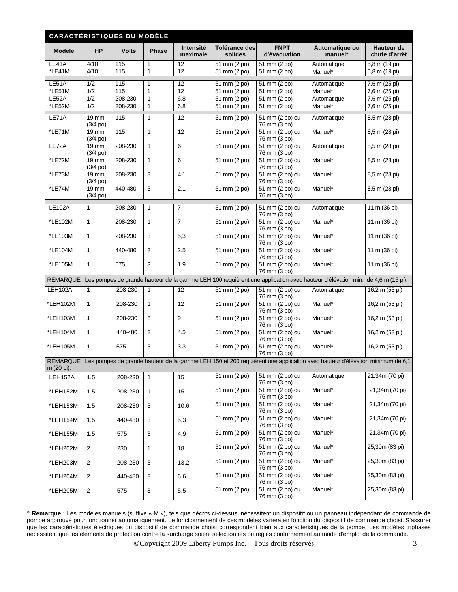| <b>CARACTÉRISTIQUES DU MODÈLE</b> |                                  |              |                              |                       |                              |                                 |                                                                                                                                        |                                |
|-----------------------------------|----------------------------------|--------------|------------------------------|-----------------------|------------------------------|---------------------------------|----------------------------------------------------------------------------------------------------------------------------------------|--------------------------------|
| Modèle                            | <b>HP</b>                        | <b>Volts</b> | Phase                        | Intensité<br>maximale | Tolérance des<br>solides     | <b>FNPT</b><br>d'évacuation     | Automatique ou<br>manuel*                                                                                                              | Hauteur de<br>chute d'arrêt    |
| LE41A<br>*LE41M                   | 4/10<br>4/10                     | 115<br>115   | $\mathbf{1}$<br>$\mathbf{1}$ | 12<br>12              | 51 mm (2 po)<br>51 mm (2 po) | 51 mm (2 po)<br>51 mm (2 po)    | Automatique<br>Manuel*                                                                                                                 | 5,8 m (19 pi)<br>5,8 m (19 pi) |
| LE51A                             | 1/2                              | 115          | 1                            | 12                    | 51 mm (2 po)                 | 51 mm (2 po)                    | Automatique                                                                                                                            | 7,6 m (25 pi)                  |
| *LE51M                            | 1/2                              | 115          | 1                            | 12                    | 51 mm (2 po)                 | 51 mm (2 po)                    | Manuel*                                                                                                                                | 7,6 m (25 pi)                  |
| LE52A                             | 1/2                              | 208-230      | 1                            | 6,8                   | 51 mm (2 po)                 | 51 mm (2 po)                    | Automatique                                                                                                                            | 7,6 m (25 pi)                  |
| *LE52M                            | 1/2                              | 208-230      | 1                            | 6,8                   | 51 mm (2 po)                 | 51 mm (2 po)                    | Manuel*                                                                                                                                | 7,6 m (25 pi)                  |
| LE71A                             | $19 \, \text{mm}$<br>$(3/4$ po)  | 115          | $\mathbf{1}$                 | 12                    | 51 mm (2 po)                 | 51 mm (2 po) ou<br>76 mm (3 po) | Automatique                                                                                                                            | 8,5 m (28 pi)                  |
| *LE71M                            | 19 mm<br>$(3/4)$ po)             | 115          | 1                            | 12                    | 51 mm (2 po)                 | 51 mm (2 po) ou<br>76 mm (3 po) | Manuel*                                                                                                                                | 8,5 m (28 pi)                  |
| LE72A                             | 19 mm<br>$(3/4$ po)              | 208-230      | 1                            | 6                     | 51 mm (2 po)                 | 51 mm (2 po) ou<br>76 mm (3 po) | Automatique                                                                                                                            | 8,5 m (28 pi)                  |
| *LE72M                            | $19 \, \text{mm}$<br>$(3/4)$ po) | 208-230      | 1                            | 6                     | 51 mm (2 po)                 | 51 mm (2 po) ou<br>76 mm (3 po) | Manuel*                                                                                                                                | 8,5 m (28 pi)                  |
| *LE73M                            | 19 mm<br>$(3/4)$ po)             | 208-230      | 3                            | 4,1                   | 51 mm (2 po)                 | 51 mm (2 po) ou<br>76 mm (3 po) | Manuel*                                                                                                                                | 8,5 m (28 pi)                  |
| *LE74M                            | 19 mm                            | 440-480      | 3                            | 2,1                   | 51 mm (2 po)                 | 51 mm (2 po) ou                 | Manuel*                                                                                                                                | 8,5 m (28 pi)                  |
|                                   | $(3/4)$ po)                      |              |                              |                       |                              | 76 mm (3 po)                    |                                                                                                                                        |                                |
| <b>LE102A</b>                     | 1                                | 208-230      | $\mathbf{1}$                 | $\overline{7}$        | $51$ mm $(2$ po)             | 51 mm (2 po) ou<br>76 mm (3 po) | Automatique                                                                                                                            | 11 m (36 pi)                   |
| *LE102M                           | 1                                | 208-230      | 1                            | $\overline{7}$        | 51 mm (2 po)                 | 51 mm (2 po) ou<br>76 mm (3 po) | Manuel*                                                                                                                                | 11 m (36 pi)                   |
| *LE103M                           | 1                                | 208-230      | 3                            | 5,3                   | 51 mm (2 po)                 | 51 mm (2 po) ou<br>76 mm (3 po) | Manuel*                                                                                                                                | 11 m (36 pi)                   |
| *LE104M                           | 1                                | 440-480      | 3                            | 2,5                   | 51 mm (2 po)                 | 51 mm (2 po) ou<br>76 mm (3 po) | Manuel*                                                                                                                                | 11 m (36 pi)                   |
| *LE105M                           | $\mathbf{1}$                     | 575          | 3                            | 1,9                   | 51 mm (2 po)                 | 51 mm (2 po) ou<br>76 mm (3 po) | Manuel*                                                                                                                                | 11 m (36 pi)                   |
|                                   |                                  |              |                              |                       |                              |                                 | REMARQUE : Les pompes de grande hauteur de la gamme LEH 100 requièrent une application avec hauteur d'élévation min. de 4,6 m (15 pi). |                                |
| LEH102A                           | 1                                | 208-230      | 1                            | 12                    | 51 mm (2 po)                 | 51 mm (2 po) ou                 | Automatique                                                                                                                            | 16,2 m (53 pi)                 |
| *LEH102M                          | 1                                | 208-230      | $\mathbf{1}$                 | 12                    | 51 mm (2 po)                 | 76 mm (3 po)<br>51 mm (2 po) ou | Manuel*                                                                                                                                | 16,2 m (53 pi)                 |
|                                   |                                  |              |                              |                       |                              | 76 mm (3 po)                    |                                                                                                                                        |                                |
| *LEH103M                          | 1                                | 208-230      | 3                            | 9                     | 51 mm (2 po)                 | 51 mm (2 po) ou<br>76 mm (3 po) | Manuel*                                                                                                                                | 16,2 m (53 pi)                 |
| *LEH104M                          | $\mathbf{1}$                     | 440-480      | 3                            | 4,5                   | 51 mm (2 po)                 | 51 mm (2 po) ou<br>76 mm (3 po) | Manuel*                                                                                                                                | 16,2 m (53 pi)                 |
| *LEH105M                          | 1                                | 575          | 3                            | 3,3                   | 51 mm (2 po)                 | 51 mm (2 po) ou<br>76 mm (3 po) | Manuel*                                                                                                                                | 16,2 m (53 pi)                 |
|                                   |                                  |              |                              |                       |                              |                                 | REMARQUE : Les pompes de grande hauteur de la gamme LEH 150 et 200 requièrent une application avec hauteur d'élévation minimum de 6,1  |                                |
| m (20 pi).                        |                                  |              |                              |                       |                              |                                 |                                                                                                                                        |                                |
| LEH152A                           | 1.5                              | 208-230      | $\mathbf{1}$                 | 15                    | 51 mm (2 po)                 | 51 mm (2 po) ou<br>76 mm (3 po) | Automatique                                                                                                                            | 21,34m (70 pi)                 |
| *LEH152M                          | 1.5                              | 208-230      | 1                            | 15                    | 51 mm (2 po)                 | 51 mm (2 po) ou<br>76 mm (3 po) | Manuel*                                                                                                                                | 21,34m (70 pi)                 |
| *LEH153M                          | 1.5                              | 208-230      | 3                            | 10,6                  | 51 mm (2 po)                 | 51 mm (2 po) ou<br>76 mm (3 po) | Manuel*                                                                                                                                | 21,34m (70 pi)                 |
| *LEH154M                          | 1.5                              | 440-480      | 3                            | 5,3                   | 51 mm (2 po)                 | 51 mm (2 po) ou<br>76 mm (3 po) | Manuel*                                                                                                                                | 21,34m (70 pi)                 |
| *LEH155M                          | 1.5                              | 575          | 3                            | 4,9                   | 51 mm (2 po)                 | 51 mm (2 po) ou<br>76 mm (3 po) | Manuel*                                                                                                                                | 21,34m (70 pi)                 |
| *LEH202M                          | $\overline{2}$                   | 230          | 1                            | 18                    | 51 mm (2 po)                 | 51 mm (2 po) ou<br>76 mm (3 po) | Manuel*                                                                                                                                | 25,30m (83 pi)                 |
| *LEH203M                          | $\overline{2}$                   | 208-230      | 3                            | 13,2                  | 51 mm (2 po)                 | 51 mm (2 po) ou<br>76 mm (3 po) | Manuel*                                                                                                                                | 25,30m (83 pi)                 |
| *LEH204M                          | $\overline{2}$                   | 440-480      | 3                            | 6,6                   | 51 mm (2 po)                 | 51 mm (2 po) ou<br>76 mm (3 po) | Manuel*                                                                                                                                | 25,30m (83 pi)                 |
| *LEH205M                          | $\overline{2}$                   | 575          | 3                            | 5,5                   | 51 mm (2 po)                 | 51 mm (2 po) ou<br>76 mm (3 po) | Manuel*                                                                                                                                | 25,30m (83 pi)                 |

∗ **Remarque :** Les modèles manuels (suffixe « M »), tels que décrits ci-dessus, nécessitent un dispositif ou un panneau indépendant de commande de pompe approuvé pour fonctionner automatiquement. Le fonctionnement de ces modèles variera en fonction du dispositif de commande choisi. S'assurer que les caractéristiques électriques du dispositif de commande choisi correspondent bien aux caractéristiques de la pompe. Les modèles triphasés nécessitent que les éléments de protection contre la surcharge soient sélectionnés ou réglés conformément au mode d'emploi de la commande.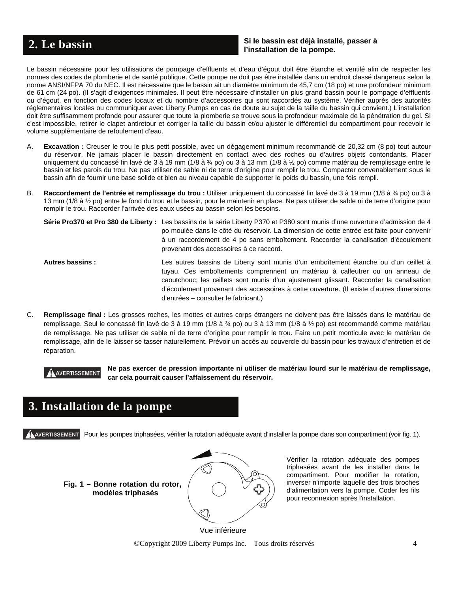### **Si le bassin est déjà installé, passer à l'installation de la pompe. 2. Le bassin**

Le bassin nécessaire pour les utilisations de pompage d'effluents et d'eau d'égout doit être étanche et ventilé afin de respecter les normes des codes de plomberie et de santé publique. Cette pompe ne doit pas être installée dans un endroit classé dangereux selon la norme ANSI/NFPA 70 du NEC. Il est nécessaire que le bassin ait un diamètre minimum de 45,7 cm (18 po) et une profondeur minimum de 61 cm (24 po). (Il s'agit d'exigences minimales. Il peut être nécessaire d'installer un plus grand bassin pour le pompage d'effluents ou d'égout, en fonction des codes locaux et du nombre d'accessoires qui sont raccordés au système. Vérifier auprès des autorités réglementaires locales ou communiquer avec Liberty Pumps en cas de doute au sujet de la taille du bassin qui convient.) L'installation doit être suffisamment profonde pour assurer que toute la plomberie se trouve sous la profondeur maximale de la pénétration du gel. Si c'est impossible, retirer le clapet antiretour et corriger la taille du bassin et/ou ajuster le différentiel du compartiment pour recevoir le volume supplémentaire de refoulement d'eau.

- A. **Excavation :** Creuser le trou le plus petit possible, avec un dégagement minimum recommandé de 20,32 cm (8 po) tout autour du réservoir. Ne jamais placer le bassin directement en contact avec des roches ou d'autres objets contondants. Placer uniquement du concassé fin lavé de 3 à 19 mm (1/8 à ¾ po) ou 3 à 13 mm (1/8 à ½ po) comme matériau de remplissage entre le bassin et les parois du trou. Ne pas utiliser de sable ni de terre d'origine pour remplir le trou. Compacter convenablement sous le bassin afin de fournir une base solide et bien au niveau capable de supporter le poids du bassin, une fois rempli.
- B. Raccordement de l'entrée et remplissage du trou : Utiliser uniquement du concassé fin lavé de 3 à 19 mm (1/8 à ¾ po) ou 3 à 13 mm (1/8 à ½ po) entre le fond du trou et le bassin, pour le maintenir en place. Ne pas utiliser de sable ni de terre d'origine pour remplir le trou. Raccorder l'arrivée des eaux usées au bassin selon les besoins.

|                        | Série Pro370 et Pro 380 de Liberty : Les bassins de la série Liberty P370 et P380 sont munis d'une ouverture d'admission de 4<br>po moulée dans le côté du réservoir. La dimension de cette entrée est faite pour convenir<br>à un raccordement de 4 po sans emboîtement. Raccorder la canalisation d'écoulement<br>provenant des accessoires à ce raccord.                                      |
|------------------------|--------------------------------------------------------------------------------------------------------------------------------------------------------------------------------------------------------------------------------------------------------------------------------------------------------------------------------------------------------------------------------------------------|
| <b>Autres bassins:</b> | Les autres bassins de Liberty sont munis d'un emboîtement étanche ou d'un œillet à<br>tuyau. Ces emboîtements comprennent un matériau à calfeutrer ou un anneau de<br>caoutchouc; les œillets sont munis d'un ajustement glissant. Raccorder la canalisation<br>d'écoulement provenant des accessoires à cette ouverture. (Il existe d'autres dimensions<br>d'entrées – consulter le fabricant.) |

C. **Remplissage final :** Les grosses roches, les mottes et autres corps étrangers ne doivent pas être laissés dans le matériau de remplissage. Seul le concassé fin lavé de 3 à 19 mm (1/8 à ¾ po) ou 3 à 13 mm (1/8 à ½ po) est recommandé comme matériau de remplissage. Ne pas utiliser de sable ni de terre d'origine pour remplir le trou. Faire un petit monticule avec le matériau de remplissage, afin de le laisser se tasser naturellement. Prévoir un accès au couvercle du bassin pour les travaux d'entretien et de réparation.

**AVERTISSEMENT** Ne pas exercer de pression importante ni utiliser de matériau lourd sur le matériau de remplissage, **car cela pourrait causer l'affaissement du réservoir.** 

# **3. Installation de la pompe**

AVERTISSEMENT Pour les pompes triphasées, vérifier la rotation adéquate avant d'installer la pompe dans son compartiment (voir fig. 1).

**Fig. 1 – Bonne rotation du rotor, modèles triphasés**



Vérifier la rotation adéquate des pompes triphasées avant de les installer dans le compartiment. Pour modifier la rotation, inverser n'importe laquelle des trois broches d'alimentation vers la pompe. Coder les fils pour reconnexion après l'installation.

 ©Copyright 2009 Liberty Pumps Inc. Tous droits réservés 4 Vue inférieure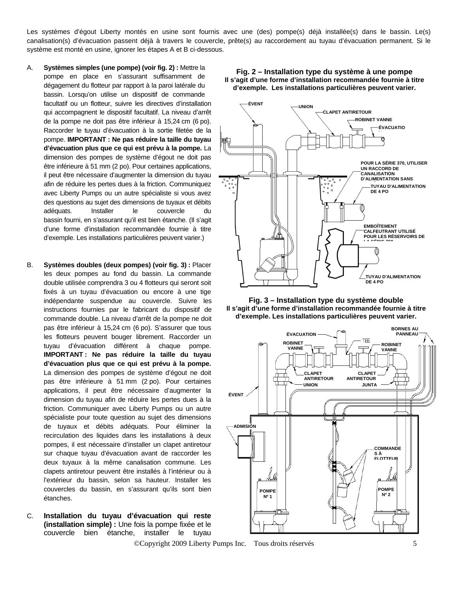Les systèmes d'égout Liberty montés en usine sont fournis avec une (des) pompe(s) déjà installée(s) dans le bassin. Le(s) canalisation(s) d'évacuation passent déjà à travers le couvercle, prête(s) au raccordement au tuyau d'évacuation permanent. Si le système est monté en usine, ignorer les étapes A et B ci-dessous.

- A. **Systèmes simples (une pompe) (voir fig. 2) :** Mettre la pompe en place en s'assurant suffisamment de dégagement du flotteur par rapport à la paroi latérale du bassin. Lorsqu'on utilise un dispositif de commande facultatif ou un flotteur, suivre les directives d'installation qui accompagnent le dispositif facultatif. La niveau d'arrêt de la pompe ne doit pas être inférieur à 15,24 cm (6 po). Raccorder le tuyau d'évacuation à la sortie filetée de la pompe. **IMPORTANT : Ne pas réduire la taille du tuyau d'évacuation plus que ce qui est prévu à la pompe.** La dimension des pompes de système d'égout ne doit pas être inférieure à 51 mm (2 po). Pour certaines applications, il peut être nécessaire d'augmenter la dimension du tuyau afin de réduire les pertes dues à la friction. Communiquez avec Liberty Pumps ou un autre spécialiste si vous avez des questions au sujet des dimensions de tuyaux et débits adéquats. Installer le couvercle du bassin fourni, en s'assurant qu'il est bien étanche. (Il s'agit d'une forme d'installation recommandée fournie à titre d'exemple. Les installations particulières peuvent varier.)
- B. **Systèmes doubles (deux pompes) (voir fig. 3) :** Placer les deux pompes au fond du bassin. La commande double utilisée comprendra 3 ou 4 flotteurs qui seront soit fixés à un tuyau d'évacuation ou encore à une tige indépendante suspendue au couvercle. Suivre les instructions fournies par le fabricant du dispositif de commande double. La niveau d'arrêt de la pompe ne doit pas être inférieur à 15,24 cm (6 po). S'assurer que tous les flotteurs peuvent bouger librement. Raccorder un tuyau d'évacuation différent à chaque pompe. **IMPORTANT : Ne pas réduire la taille du tuyau d'évacuation plus que ce qui est prévu à la pompe.**  La dimension des pompes de système d'égout ne doit pas être inférieure à 51 mm (2 po). Pour certaines applications, il peut être nécessaire d'augmenter la dimension du tuyau afin de réduire les pertes dues à la friction. Communiquer avec Liberty Pumps ou un autre spécialiste pour toute question au sujet des dimensions de tuyaux et débits adéquats. Pour éliminer la recirculation des liquides dans les installations à deux pompes, il est nécessaire d'installer un clapet antiretour sur chaque tuyau d'évacuation avant de raccorder les deux tuyaux à la même canalisation commune. Les clapets antiretour peuvent être installés à l'intérieur ou à l'extérieur du bassin, selon sa hauteur. Installer les couvercles du bassin, en s'assurant qu'ils sont bien étanches.
- C. **Installation du tuyau d'évacuation qui reste (installation simple) :** Une fois la pompe fixée et le couvercle bien étanche, installer le tuyau

©Copyright 2009 Liberty Pumps Inc. Tous droits réservés 5



**Fig. 2 – Installation type du système à une pompe** 



**Fig. 3 – Installation type du système double Il s'agit d'une forme d'installation recommandée fournie à titre d'exemple. Les installations particulières peuvent varier.** 

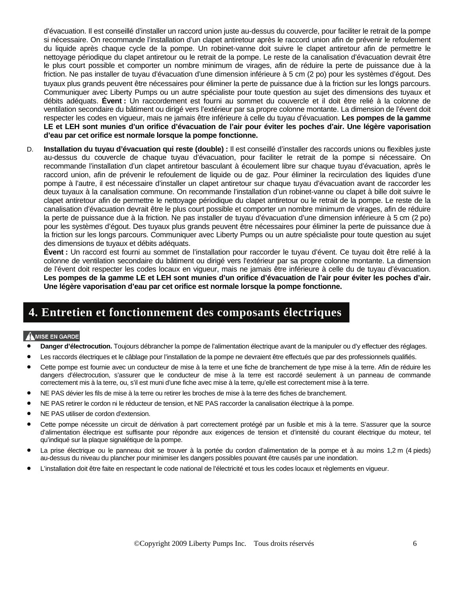d'évacuation. Il est conseillé d'installer un raccord union juste au-dessus du couvercle, pour faciliter le retrait de la pompe si nécessaire. On recommande l'installation d'un clapet antiretour après le raccord union afin de prévenir le refoulement du liquide après chaque cycle de la pompe. Un robinet-vanne doit suivre le clapet antiretour afin de permettre le nettoyage périodique du clapet antiretour ou le retrait de la pompe. Le reste de la canalisation d'évacuation devrait être le plus court possible et comporter un nombre minimum de virages, afin de réduire la perte de puissance due à la friction. Ne pas installer de tuyau d'évacuation d'une dimension inférieure à 5 cm (2 po) pour les systèmes d'égout. Des tuyaux plus grands peuvent être nécessaires pour éliminer la perte de puissance due à la friction sur les longs parcours. Communiquer avec Liberty Pumps ou un autre spécialiste pour toute question au sujet des dimensions des tuyaux et débits adéquats. **Évent :** Un raccordement est fourni au sommet du couvercle et il doit être relié à la colonne de ventilation secondaire du bâtiment ou dirigé vers l'extérieur par sa propre colonne montante. La dimension de l'évent doit respecter les codes en vigueur, mais ne jamais être inférieure à celle du tuyau d'évacuation. **Les pompes de la gamme LE et LEH sont munies d'un orifice d'évacuation de l'air pour éviter les poches d'air. Une légère vaporisation d'eau par cet orifice est normale lorsque la pompe fonctionne.**

D. **Installation du tuyau d'évacuation qui reste (double) :** Il est conseillé d'installer des raccords unions ou flexibles juste au-dessus du couvercle de chaque tuyau d'évacuation, pour faciliter le retrait de la pompe si nécessaire. On recommande l'installation d'un clapet antiretour basculant à écoulement libre sur chaque tuyau d'évacuation, après le raccord union, afin de prévenir le refoulement de liquide ou de gaz. Pour éliminer la recirculation des liquides d'une pompe à l'autre, il est nécessaire d'installer un clapet antiretour sur chaque tuyau d'évacuation avant de raccorder les deux tuyaux à la canalisation commune. On recommande l'installation d'un robinet-vanne ou clapet à bille doit suivre le clapet antiretour afin de permettre le nettoyage périodique du clapet antiretour ou le retrait de la pompe. Le reste de la canalisation d'évacuation devrait être le plus court possible et comporter un nombre minimum de virages, afin de réduire la perte de puissance due à la friction. Ne pas installer de tuyau d'évacuation d'une dimension inférieure à 5 cm (2 po) pour les systèmes d'égout. Des tuyaux plus grands peuvent être nécessaires pour éliminer la perte de puissance due à la friction sur les longs parcours. Communiquer avec Liberty Pumps ou un autre spécialiste pour toute question au sujet des dimensions de tuyaux et débits adéquats.

**Évent :** Un raccord est fourni au sommet de l'installation pour raccorder le tuyau d'évent. Ce tuyau doit être relié à la colonne de ventilation secondaire du bâtiment ou dirigé vers l'extérieur par sa propre colonne montante. La dimension de l'évent doit respecter les codes locaux en vigueur, mais ne jamais être inférieure à celle du de tuyau d'évacuation. **Les pompes de la gamme LE et LEH sont munies d'un orifice d'évacuation de l'air pour éviter les poches d'air. Une légère vaporisation d'eau par cet orifice est normale lorsque la pompe fonctionne.**

### **4. Entretien et fonctionnement des composants électriques**

### **AMISE EN GARDE**

- **Danger d'électrocution.** Toujours débrancher la pompe de l'alimentation électrique avant de la manipuler ou d'y effectuer des réglages.
- Les raccords électriques et le câblage pour l'installation de la pompe ne devraient être effectués que par des professionnels qualifiés.
- Cette pompe est fournie avec un conducteur de mise à la terre et une fiche de branchement de type mise à la terre. Afin de réduire les dangers d'électrocution, s'assurer que le conducteur de mise à la terre est raccordé seulement à un panneau de commande correctement mis à la terre, ou, s'il est muni d'une fiche avec mise à la terre, qu'elle est correctement mise à la terre.
- NE PAS dévier les fils de mise à la terre ou retirer les broches de mise à la terre des fiches de branchement.
- NE PAS retirer le cordon ni le réducteur de tension, et NE PAS raccorder la canalisation électrique à la pompe.
- NE PAS utiliser de cordon d'extension.
- Cette pompe nécessite un circuit de dérivation à part correctement protégé par un fusible et mis à la terre. S'assurer que la source d'alimentation électrique est suffisante pour répondre aux exigences de tension et d'intensité du courant électrique du moteur, tel qu'indiqué sur la plaque signalétique de la pompe.
- La prise électrique ou le panneau doit se trouver à la portée du cordon d'alimentation de la pompe et à au moins 1,2 m (4 pieds) au-dessus du niveau du plancher pour minimiser les dangers possibles pouvant être causés par une inondation.
- L'installation doit être faite en respectant le code national de l'électricité et tous les codes locaux et règlements en vigueur.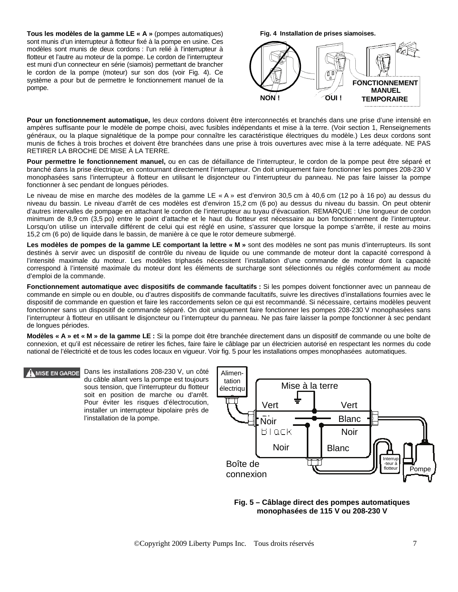**Tous les modèles de la gamme LE « A »** (pompes automatiques) sont munis d'un interrupteur à flotteur fixé à la pompe en usine. Ces modèles sont munis de deux cordons : l'un relié à l'interrupteur à flotteur et l'autre au moteur de la pompe. Le cordon de l'interrupteur est muni d'un connecteur en série (siamois) permettant de brancher le cordon de la pompe (moteur) sur son dos (voir Fig. 4). Ce système a pour but de permettre le fonctionnement manuel de la **Fig. 4 Installation de prises siamoises.**



Pour un fonctionnement automatique, les deux cordons doivent être interconnectés et branchés dans une prise d'une intensité en ampères suffisante pour le modèle de pompe choisi, avec fusibles indépendants et mise à la terre. (Voir section 1, Renseignements généraux, ou la plaque signalétique de la pompe pour connaître les caractéristique électriques du modèle.) Les deux cordons sont munis de fiches à trois broches et doivent être branchées dans une prise à trois ouvertures avec mise à la terre adéquate. NE PAS RETIRER LA BROCHE DE MISE À LA TERRE.

**Pour permettre le fonctionnement manuel,** ou en cas de défaillance de l'interrupteur, le cordon de la pompe peut être séparé et branché dans la prise électrique, en contournant directement l'interrupteur. On doit uniquement faire fonctionner les pompes 208-230 V monophasées sans l'interrupteur à flotteur en utilisant le disjoncteur ou l'interrupteur du panneau. Ne pas faire laisser la pompe fonctionner à sec pendant de longues périodes.

Le niveau de mise en marche des modèles de la gamme LE « A » est d'environ 30,5 cm à 40,6 cm (12 po à 16 po) au dessus du niveau du bassin. Le niveau d'arrêt de ces modèles est d'environ 15,2 cm (6 po) au dessus du niveau du bassin. On peut obtenir d'autres intervalles de pompage en attachant le cordon de l'interrupteur au tuyau d'évacuation. REMARQUE : Une longueur de cordon minimum de 8,9 cm (3,5 po) entre le point d'attache et le haut du flotteur est nécessaire au bon fonctionnement de l'interrupteur. Lorsqu'on utilise un intervalle différent de celui qui est réglé en usine, s'assurer que lorsque la pompe s'arrête, il reste au moins 15,2 cm (6 po) de liquide dans le bassin, de manière à ce que le rotor demeure submergé.

Les modèles de pompes de la gamme LE comportant la lettre « M » sont des modèles ne sont pas munis d'interrupteurs. Ils sont destinés à servir avec un dispositif de contrôle du niveau de liquide ou une commande de moteur dont la capacité correspond à l'intensité maximale du moteur. Les modèles triphasés nécessitent l'installation d'une commande de moteur dont la capacité correspond à l'intensité maximale du moteur dont les éléments de surcharge sont sélectionnés ou réglés conformément au mode d'emploi de la commande.

Fonctionnement automatique avec dispositifs de commande facultatifs : Si les pompes doivent fonctionner avec un panneau de commande en simple ou en double, ou d'autres dispositifs de commande facultatifs, suivre les directives d'installations fournies avec le dispositif de commande en question et faire les raccordements selon ce qui est recommandé. Si nécessaire, certains modèles peuvent fonctionner sans un dispositif de commande séparé. On doit uniquement faire fonctionner les pompes 208-230 V monophasées sans l'interrupteur à flotteur en utilisant le disjoncteur ou l'interrupteur du panneau. Ne pas faire laisser la pompe fonctionner à sec pendant de longues périodes.

**Modèles « A » et « M » de la gamme LE :** Si la pompe doit être branchée directement dans un dispositif de commande ou une boîte de connexion, et qu'il est nécessaire de retirer les fiches, faire faire le câblage par un électricien autorisé en respectant les normes du code national de l'électricité et de tous les codes locaux en vigueur. Voir fig. 5 pour les installations ompes monophasées automatiques.

Dans les installations 208-230 V, un côté **MISE EN GARDE** du câble allant vers la pompe est toujours sous tension, que l'interrupteur du flotteur soit en position de marche ou d'arrêt. Pour éviter les risques d'électrocution, installer un interrupteur bipolaire près de l'installation de la pompe.



**Fig. 5 – Câblage direct des pompes automatiques monophasées de 115 V ou 208-230 V**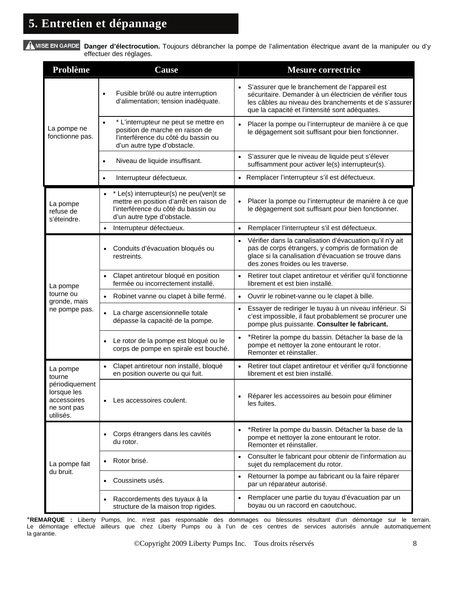A MISE EN GARDE Danger d'électrocution. Toujours débrancher la pompe de l'alimentation électrique avant de la manipuler ou d'y effectuer des réglages.

| Problème                                                                 | <b>Cause</b>                                                                                                                                                          | <b>Mesure correctrice</b>                                                                                                                                                                                                         |
|--------------------------------------------------------------------------|-----------------------------------------------------------------------------------------------------------------------------------------------------------------------|-----------------------------------------------------------------------------------------------------------------------------------------------------------------------------------------------------------------------------------|
| La pompe ne<br>fonctionne pas.                                           | Fusible brûlé ou autre interruption<br>$\bullet$<br>d'alimentation; tension inadéquate.                                                                               | S'assurer que le branchement de l'appareil est<br>$\bullet$<br>sécuritaire. Demander à un électricien de vérifier tous<br>les câbles au niveau des branchements et de s'assurer<br>que la capacité et l'intensité sont adéquates. |
|                                                                          | * L'interrupteur ne peut se mettre en<br>$\bullet$<br>position de marche en raison de<br>l'interférence du côté du bassin ou<br>d'un autre type d'obstacle.           | Placer la pompe ou l'interrupteur de manière à ce que<br>le dégagement soit suffisant pour bien fonctionner.                                                                                                                      |
|                                                                          | Niveau de liquide insuffisant.<br>$\bullet$                                                                                                                           | S'assurer que le niveau de liquide peut s'élever<br>suffisamment pour activer le(s) interrupteur(s).                                                                                                                              |
|                                                                          | Interrupteur défectueux.                                                                                                                                              | Remplacer l'interrupteur s'il est défectueux.<br>$\bullet$                                                                                                                                                                        |
| La pompe<br>refuse de<br>s'éteindre.                                     | * Le(s) interrupteur(s) ne peu(ven)t se<br>$\bullet$<br>mettre en position d'arrêt en raison de<br>l'interférence du côté du bassin ou<br>d'un autre type d'obstacle. | Placer la pompe ou l'interrupteur de manière à ce que<br>le dégagement soit suffisant pour bien fonctionner.                                                                                                                      |
|                                                                          | Interrupteur défectueux.<br>$\bullet$                                                                                                                                 | Remplacer l'interrupteur s'il est défectueux.<br>$\bullet$                                                                                                                                                                        |
|                                                                          | Conduits d'évacuation bloqués ou<br>$\bullet$<br>restreints.                                                                                                          | Vérifier dans la canalisation d'évacuation qu'il n'y ait<br>$\bullet$<br>pas de corps étrangers, y compris de formation de<br>glace si la canalisation d'évacuation se trouve dans<br>des zones froides ou les traverse.          |
| La pompe                                                                 | Clapet antiretour bloqué en position<br>fermée ou incorrectement installé.                                                                                            | Retirer tout clapet antiretour et vérifier qu'il fonctionne<br>librement et est bien installé.                                                                                                                                    |
| tourne ou<br>gronde, mais                                                | Robinet vanne ou clapet à bille fermé.<br>$\bullet$                                                                                                                   | Ouvrir le robinet-vanne ou le clapet à bille.                                                                                                                                                                                     |
| ne pompe pas.                                                            | La charge ascensionnelle totale<br>$\bullet$<br>dépasse la capacité de la pompe.                                                                                      | Essayer de rediriger le tuyau à un niveau inférieur. Si<br>$\bullet$<br>c'est impossible, il faut probablement se procurer une<br>pompe plus puissante. Consulter le fabricant.                                                   |
|                                                                          | Le rotor de la pompe est bloqué ou le<br>corps de pompe en spirale est bouché.                                                                                        | *Retirer la pompe du bassin. Détacher la base de la<br>$\bullet$<br>pompe et nettoyer la zone entourant le rotor.<br>Remonter et réinstaller.                                                                                     |
| La pompe<br>tourne                                                       | Clapet antiretour non installé, bloqué<br>en position ouverte ou qui fuit.                                                                                            | Retirer tout clapet antiretour et vérifier qu'il fonctionne<br>librement et est bien installé.                                                                                                                                    |
| périodiquement<br>lorsque les<br>accessoires<br>ne sont pas<br>utilisés. | Les accessoires coulent.<br>$\bullet$                                                                                                                                 | • Réparer les accessoires au besoin pour éliminer<br>les fuites.                                                                                                                                                                  |
|                                                                          | Corps étrangers dans les cavités<br>du rotor.                                                                                                                         | *Retirer la pompe du bassin. Détacher la base de la<br>pompe et nettoyer la zone entourant le rotor.<br>Remonter et réinstaller.                                                                                                  |
| La pompe fait                                                            | Rotor brisé.                                                                                                                                                          | Consulter le fabricant pour obtenir de l'information au<br>sujet du remplacement du rotor.                                                                                                                                        |
| du bruit.                                                                | Coussinets usés.<br>$\bullet$                                                                                                                                         | Retourner la pompe au fabricant ou la faire réparer<br>$\bullet$<br>par un réparateur autorisé.                                                                                                                                   |
|                                                                          | Raccordements des tuyaux à la<br>structure de la maison trop rigides.                                                                                                 | Remplacer une partie du tuyau d'évacuation par un<br>$\bullet$<br>boyau ou un raccord en caoutchouc.                                                                                                                              |

∗**REMARQUE :** Liberty Pumps, Inc. n'est pas responsable des dommages ou blessures résultant d'un démontage sur le terrain. Le démontage effectué ailleurs que chez Liberty Pumps ou à l'un de ces centres de services autorisés annule automatiquement la garantie.